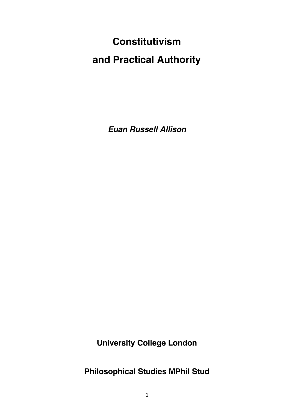# **Constitutivism and Practical Authority**

*Euan Russell Allison*

**University College London**

**Philosophical Studies MPhil Stud**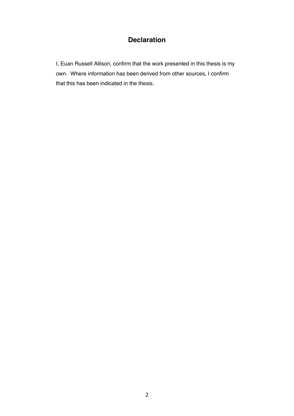# **Declaration**

I, Euan Russell Allison, confirm that the work presented in this thesis is my own. Where information has been derived from other sources, I confirm that this has been indicated in the thesis.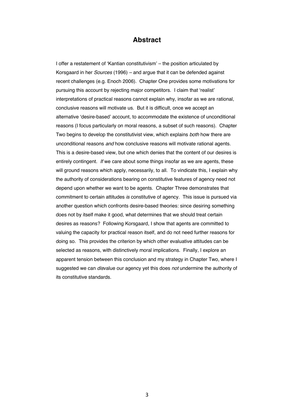# **Abstract**

I offer a restatement of 'Kantian constitutivism' – the position articulated by Korsgaard in her *Sources* (1996) *–* and argue that it can be defended against recent challenges (e.g. Enoch 2006). Chapter One provides some motivations for pursuing this account by rejecting major competitors. I claim that 'realist' interpretations of practical reasons cannot explain why, insofar as we are rational, conclusive reasons will motivate us. But it is difficult, once we accept an alternative 'desire-based' account, to accommodate the existence of unconditional reasons (I focus particularly on moral reasons, a subset of such reasons). Chapter Two begins to develop the constitutivist view, which explains *both* how there are unconditional reasons *and* how conclusive reasons will motivate rational agents. This is a desire-based view, but one which denies that the content of our desires is entirely contingent. *If* we care about some things insofar as we are agents, these will ground reasons which apply, necessarily, to all. To vindicate this, I explain why the authority of considerations bearing on constitutive features of agency need not depend upon whether we want to be agents. Chapter Three demonstrates that commitment to certain attitudes *is* constitutive of agency. This issue is pursued via another question which confronts desire-based theories: since desiring something does not by itself make it good, what determines that we should treat certain desires as reasons? Following Korsgaard, I show that agents are committed to valuing the capacity for practical reason itself, and do not need further reasons for doing so. This provides the criterion by which other evaluative attitudes can be selected as reasons, with distinctively moral implications. Finally, I explore an apparent tension between this conclusion and my strategy in Chapter Two, where I suggested we can *dis*value our agency yet this does *not* undermine the authority of its constitutive standards.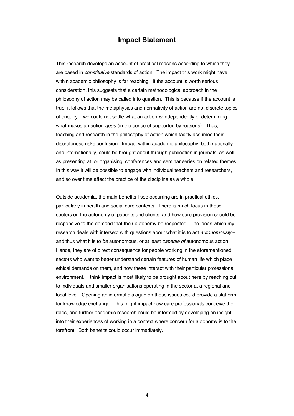# **Impact Statement**

This research develops an account of practical reasons according to which they are based in *constitutive* standards of action. The impact this work might have within academic philosophy is far reaching. If the account is worth serious consideration, this suggests that a certain methodological approach in the philosophy of action may be called into question. This is because if the account is true, it follows that the metaphysics and normativity of action are not discrete topics of enquiry – we could not settle what an action *is* independently of determining what makes an action *good* (in the sense of supported by reasons). Thus, teaching and research in the philosophy of action which tacitly assumes their discreteness risks confusion. Impact within academic philosophy, both nationally and internationally, could be brought about through publication in journals, as well as presenting at, or organising, conferences and seminar series on related themes. In this way it will be possible to engage with individual teachers and researchers, and so over time affect the practice of the discipline as a whole.

Outside academia, the main benefits I see occurring are in practical ethics, particularly in health and social care contexts. There is much focus in these sectors on the autonomy of patients and clients, and how care provision should be responsive to the demand that their autonomy be respected. The ideas which my research deals with intersect with questions about what it is to act *autonomously* – and thus what it is to *be* autonomous, or at least *capable of* autonomous action. Hence, they are of direct consequence for people working in the aforementioned sectors who want to better understand certain features of human life which place ethical demands on them, and how these interact with their particular professional environment. I think impact is most likely to be brought about here by reaching out to individuals and smaller organisations operating in the sector at a regional and local level. Opening an informal dialogue on these issues could provide a platform for knowledge exchange. This might impact how care professionals conceive their roles, and further academic research could be informed by developing an insight into their experiences of working in a context where concern for autonomy is to the forefront. Both benefits could occur immediately.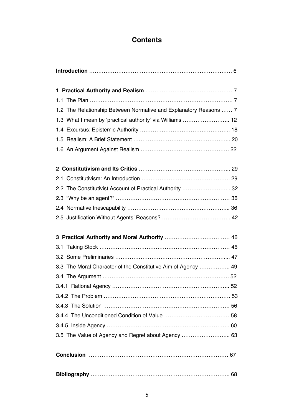# **Contents**

| 1.2 The Relationship Between Normative and Explanatory Reasons  7 |
|-------------------------------------------------------------------|
| 1.3 What I mean by 'practical authority' via Williams  12         |
|                                                                   |
|                                                                   |
|                                                                   |
|                                                                   |
|                                                                   |
| 2.2 The Constitutivist Account of Practical Authority  32         |
|                                                                   |
|                                                                   |
|                                                                   |
|                                                                   |
|                                                                   |
|                                                                   |
|                                                                   |
| 3.3 The Moral Character of the Constitutive Aim of Agency  49     |
|                                                                   |
|                                                                   |
|                                                                   |
|                                                                   |
|                                                                   |
|                                                                   |
| 3.5 The Value of Agency and Regret about Agency  63               |
|                                                                   |
|                                                                   |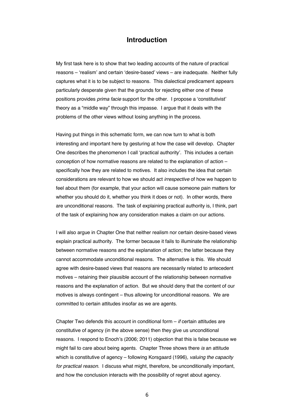### **Introduction**

My first task here is to show that two leading accounts of the nature of practical reasons – 'realism' and certain 'desire-based' views – are inadequate. Neither fully captures what it is to be subject to reasons. This dialectical predicament appears particularly desperate given that the grounds for rejecting either one of these positions provides *prima facie* support for the other. I propose a 'constitutivist' theory as a "middle way" through this impasse. I argue that it deals with the problems of the other views without losing anything in the process.

Having put things in this schematic form, we can now turn to what is both interesting and important here by gesturing at how the case will develop. Chapter One describes the phenomenon I call 'practical authority'. This includes a certain conception of how normative reasons are related to the explanation of action – specifically how they are related to motives. It also includes the idea that certain considerations are relevant to how we should act *irrespective* of how we happen to feel about them (for example, that your action will cause someone pain matters for whether you should do it, whether you think it does or not). In other words, there are unconditional reasons. The task of explaining practical authority is, I think, part of the task of explaining how any consideration makes a claim on our actions.

I will also argue in Chapter One that neither realism nor certain desire-based views explain practical authority. The former because it fails to illuminate the relationship between normative reasons and the explanation of action; the latter because they cannot accommodate unconditional reasons. The alternative is this. We should agree with desire-based views that reasons are necessarily related to antecedent motives – retaining their plausible account of the relationship between normative reasons and the explanation of action. But we should deny that the content of our motives is always contingent – thus allowing for unconditional reasons. We are committed to certain attitudes insofar as we are agents.

Chapter Two defends this account in conditional form – *if* certain attitudes are constitutive of agency (in the above sense) then they give us unconditional reasons. I respond to Enoch's (2006; 2011) objection that this is false because we might fail to care about being agents. Chapter Three shows there *is* an attitude which is constitutive of agency – following Korsgaard (1996), *valuing the capacity for practical reason*. I discuss what might, therefore, be unconditionally important, and how the conclusion interacts with the possibility of regret about agency.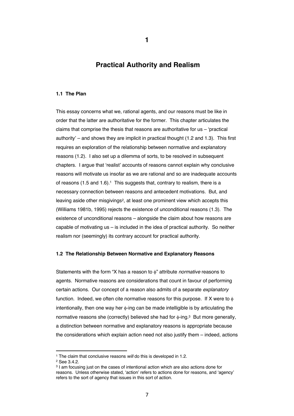# **Practical Authority and Realism**

#### **1.1 The Plan**

This essay concerns what we, rational agents, and our reasons must be like in order that the latter are authoritative for the former. This chapter articulates the claims that comprise the thesis that reasons are authoritative for us – 'practical authority' – and shows they are implicit in practical thought (1.2 and 1.3). This first requires an exploration of the relationship between normative and explanatory reasons (1.2). I also set up a dilemma of sorts, to be resolved in subsequent chapters. I argue that 'realist' accounts of reasons cannot explain why conclusive reasons will motivate us insofar as we are rational and so are inadequate accounts of reasons (1.5 and 1.6).<sup>1</sup> This suggests that, contrary to realism, there is a necessary connection between reasons and antecedent motivations. But, and leaving aside other misgivings2, at least one prominent view which accepts this (Williams 1981b, 1995) rejects the existence of unconditional reasons (1.3). The existence of unconditional reasons – alongside the claim about how reasons are capable of motivating us – is included in the idea of practical authority. So neither realism nor (seemingly) its contrary account for practical authority.

#### **1.2 The Relationship Between Normative and Explanatory Reasons**

Statements with the form "X has a reason to  $\phi$ " attribute *normative* reasons to agents. Normative reasons are considerations that count in favour of performing certain actions. Our concept of a reason also admits of a separate *explanatory*  function. Indeed, we often cite normative reasons for this purpose. If X were to  $\phi$ intentionally, then one way her  $\phi$ -ing can be made intelligible is by articulating the normative reasons she (correctly) believed she had for  $\phi$ -ing.<sup>3</sup> But more generally, a distinction between normative and explanatory reasons is appropriate because the considerations which explain action need not also justify them – indeed, actions

<sup>1</sup> The claim that conclusive reasons *will* do this is developed in 1.2.

<sup>2</sup> See 3.4.2.

<sup>&</sup>lt;sup>3</sup> I am focusing just on the cases of intentional action which are also actions done for reasons. Unless otherwise stated, 'action' refers to actions done for reasons, and 'agency' refers to the sort of agency that issues in this sort of action.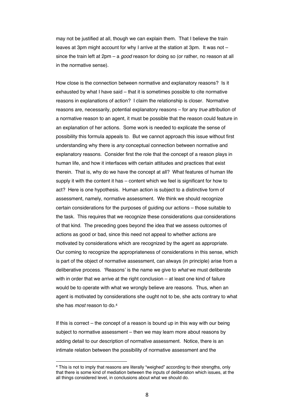may not be justified at all, though we can explain them. That I believe the train leaves at 3pm might account for why I arrive at the station at 3pm. It was not – since the train left at 2pm – a *good* reason for doing so (or rather, no reason at all in the normative sense).

How close is the connection between normative and explanatory reasons? Is it exhausted by what I have said – that it is sometimes possible to cite normative reasons in explanations of action? I claim the relationship is closer. Normative reasons are, necessarily, potential explanatory reasons – for any *true* attribution of a normative reason to an agent, it must be possible that the reason could feature in an explanation of her actions. Some work is needed to explicate the sense of possibility this formula appeals to. But we cannot approach this issue without first understanding why there is *any* conceptual connection between normative and explanatory reasons. Consider first the role that the concept of a reason plays in human life, and how it interfaces with certain attitudes and practices that exist therein. That is, why do we have the concept at all? What features of human life supply it with the content it has – content which we feel is significant for how to act? Here is one hypothesis. Human action is subject to a distinctive form of assessment, namely, normative assessment. We think we should recognize certain considerations for the purposes of guiding our actions – those suitable to the task. This requires that we recognize these considerations *qua* considerations of that kind. The preceding goes beyond the idea that we assess outcomes of actions as good or bad, since this need not appeal to whether actions are motivated by considerations which are recognized by the agent as appropriate. Our coming to recognize the appropriateness of considerations in this sense, which is part of the object of normative assessment, can always (in principle) arise from a deliberative process. 'Reasons' is the name we give to *what* we must deliberate with in order that we arrive at the right conclusion – at least one kind of failure would be to operate with what we wrongly believe are reasons. Thus, when an agent is motivated by considerations she ought not to be, she acts contrary to what she has *most* reason to do.4

If this is correct – the concept of a reason is bound up in this way with our being subject to normative assessment – then we may learn more about reasons by adding detail to our description of normative assessment. Notice, there is an intimate relation between the possibility of normative assessment and the

<sup>4</sup> This is not to imply that reasons are literally "weighed" according to their strengths, only that there is some kind of mediation between the inputs of deliberation which issues, at the all things considered level, in conclusions about what we should do.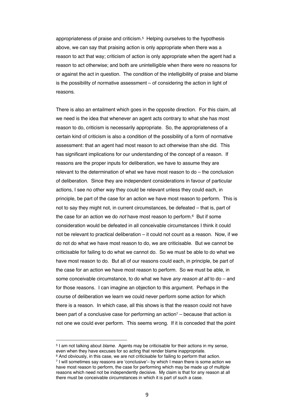appropriateness of praise and criticism.5 Helping ourselves to the hypothesis above, we can say that praising action is only appropriate when there was a reason to act that way; criticism of action is only appropriate when the agent had a reason to act otherwise; and both are unintelligible when there were no reasons for or against the act in question. The condition of the intelligibility of praise and blame is the possibility of normative assessment – of considering the action in light of reasons.

There is also an entailment which goes in the opposite direction. For this claim, all we need is the idea that whenever an agent acts contrary to what she has most reason to do, criticism is necessarily appropriate. So, the appropriateness of a certain kind of criticism is also a condition of the possibility of a form of normative assessment: that an agent had most reason to act otherwise than she did. This has significant implications for our understanding of the concept of a reason. If reasons are the proper inputs for deliberation, we have to assume they are relevant to the determination of what we have most reason to do – the conclusion of deliberation. Since they are independent considerations in favour of particular actions, I see no other way they could be relevant unless they could each, in principle, be part of the case for an action we have most reason to perform. This is not to say they might not, in current circumstances, be defeated – that is, part of the case for an action we do *not* have most reason to perform.6 But if some consideration would be defeated in all conceivable circumstances I think it could not be relevant to practical deliberation – it could not count as a reason. Now, if we do not do what we have most reason to do, we are criticisable. But we cannot be criticisable for failing to do what we cannot do. So we must be able to do what we have most reason to do. But all of our reasons could each, in principle, be part of the case for an action we have most reason to perform. So we must be able, in some conceivable circumstance, to do what we have *any reason at all* to do – and for those reasons. I can imagine an objection to this argument. Perhaps in the course of deliberation we learn we could never perform some action for which there is a reason. In which case, all this shows is that the reason could not have been part of a conclusive case for performing an action<sup>7</sup> – because that action is not one we could ever perform. This seems wrong. If it is conceded that the point

<sup>5</sup> I am not talking about *blame*. Agents may be criticisable for their actions in my sense, even when they have excuses for so acting that render blame inappropriate.

 $6$  And obviously, in this case, we are not criticisable for failing to perform that action.

<sup>7</sup> I will sometimes say reasons are 'conclusive'– by which I mean there is some action we have most reason to perform, the case for performing which may be made up of multiple reasons which need not be independently decisive. My claim is that for any reason at all there must be conceivable circumstances in which it is part of such a case.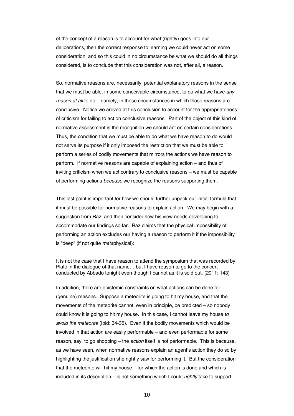of the concept of a reason is to account for what (rightly) goes into our deliberations, then the correct response to learning we could never act on some consideration, and so this could in no circumstance be what we should do all things considered, is to conclude that this consideration was not, after all, a reason.

So, normative reasons are, necessarily, potential explanatory reasons in the sense that we must be able, in some conceivable circumstance, to do what we have *any reason at all* to do – namely, in those circumstances in which those reasons are conclusive. Notice we arrived at this conclusion to account for the appropriateness of criticism for failing to act on conclusive reasons. Part of the object of this kind of normative assessment is the recognition we should act on certain considerations. Thus, the condition that we must be able to do what we have reason to do would not serve its purpose if it only imposed the restriction that we must be able to perform a series of bodily movements that mirrors the actions we have reason to perform. If normative reasons are capable of explaining action – and thus of inviting criticism when we act contrary to conclusive reasons – we must be capable of performing actions *because* we recognize the reasons supporting them.

This last point is important for how we should further unpack our initial formula that it must be possible for normative reasons to explain action. We may begin with a suggestion from Raz, and then consider how his view needs developing to accommodate our findings so far. Raz claims that the physical impossibility of performing an action excludes our having a reason to perform it if the impossibility is "deep" (if not quite *meta*physical):

It is not the case that I have reason to attend the symposium that was recorded by Plato in the dialogue of that name… but I have reason to go to the concert conducted by Abbado tonight even though I cannot as it is sold out. (2011: 143)

In addition, there are epistemic constraints on what actions can be done for (genuine) reasons. Suppose a meteorite is going to hit my house, and that the movements of the meteorite cannot, even in principle, be predicted – so nobody could know it is going to hit my house. In this case, I cannot leave my house *to avoid the meteorite* (Ibid: 34-35). Even if the bodily movements which would be involved in that action are easily performable – and even performable for some reason, say, to go shopping – the *action* itself is not performable. This is because, as we have seen, when normative reasons explain an agent's action they do so by highlighting the justification she rightly saw for performing it. But the consideration that the meteorite will hit my house – for which the action is done and which is included in its description – is not something which I could *rightly* take to support

10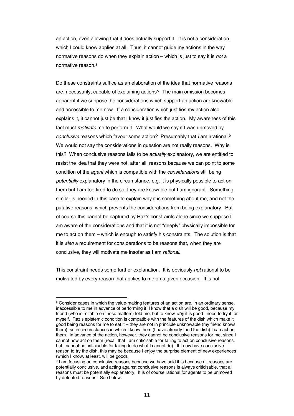an action, even allowing that it does actually support it. It is not a consideration which I could know applies at all. Thus, it cannot guide my actions in the way normative reasons do when they explain action – which is just to say it is *not* a normative reason.8

Do these constraints suffice as an elaboration of the idea that normative reasons are, necessarily, capable of explaining actions? The main omission becomes apparent if we suppose the considerations which support an action are knowable and accessible to me now. If a consideration which justifies my action also explains it, it cannot just be that I know it justifies the action. My awareness of this fact must *motivate* me to perform it. What would we say if I was unmoved by *conclusive* reasons which favour some action? Presumably that *I* am irrational.9 We would not say the considerations in question are not really reasons. Why is this? When conclusive reasons fails to be *actually* explanatory, we are entitled to resist the idea that they were not, after all, reasons because we can point to some condition of the *agent* which is compatible with the *considerations* still being *potentially* explanatory in the circumstance, e.g. it is physically possible to act on them but I am too tired to do so; they are knowable but I am ignorant. Something similar is needed in this case to explain why it is something about me, and not the putative reasons, which prevents the considerations from being explanatory. But of course this cannot be captured by Raz's constraints alone since we suppose I am aware of the considerations and that it is not "deeply" physically impossible for me to act on them – which is enough to satisfy his constraints. The solution is that it is *also* a requirement for considerations to be reasons that, when they are conclusive, they will motivate me insofar as I am *rational*.

This constraint needs some further explanation. It is obviously *not* rational to be motivated by every reason that applies to me on a given occasion. It is not

<sup>&</sup>lt;sup>8</sup> Consider cases in which the value-making features of an action are, in an ordinary sense, inaccessible to me in advance of performing it: I know that a dish will be good, because my friend (who is reliable on these matters) told me, but to know *why* it is good I need to try it for myself. Raz's epistemic condition is compatible with the features of the dish which make it good being reasons for me to eat it – they are not in principle unknowable (my friend knows them), so in circumstances in which I know them (I have already tried the dish) I can act on them. In advance of the action, however, they cannot be conclusive reasons for me, since I cannot now act on them (recall that I am criticisable for failing to act on conclusive reasons, but I cannot be criticisable for failing to do what I cannot do). If I now have conclusive reason to try the dish, this may be because I enjoy the surprise element of new experiences (which I know, at least, will be good).

<sup>9</sup> I am focusing on conclusive reasons because we have said it is because all reasons are potentially conclusive, and acting against conclusive reasons is always criticisable, that all reasons must be potentially explanatory. It is of course rational for agents to be unmoved by defeated reasons. See below.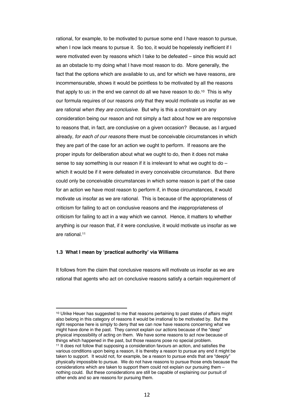rational, for example, to be motivated to pursue some end I have reason to pursue, when I now lack means to pursue it. So too, it would be hopelessly inefficient if I were motivated even by reasons which I take to be defeated – since this would act as an obstacle to my doing what I have most reason to do. More generally, the fact that the options which are available to us, and for which we have reasons, are incommensurable, shows it would be pointless to be motivated by all the reasons that apply to us: in the end we cannot do all we have reason to do.<sup>10</sup> This is why our formula requires of our reasons *only* that they would motivate us insofar as we are rational *when they are conclusive*. But why is this a constraint on any consideration being our reason and not simply a fact about how we are responsive to reasons that, in fact, are conclusive on a given occasion? Because, as I argued already, *for each of our reasons* there must be conceivable circumstances in which they are part of the case for an action we ought to perform. If reasons are the proper inputs for deliberation about what we ought to do, then it does not make sense to say something is our reason if it is irrelevant to what we ought to do – which it would be if it were defeated in every conceivable circumstance. But there could only be conceivable circumstances in which some reason is part of the case for an action we have most reason to perform if, in those circumstances, it would motivate us insofar as we are rational. This is because of the appropriateness of criticism for failing to act on conclusive reasons and the *in*appropriateness of criticism for failing to act in a way which we cannot. Hence, it matters to whether anything is our reason that, if it were conclusive, it would motivate us insofar as we are rational.11

#### **1.3 What I mean by 'practical authority' via Williams**

It follows from the claim that conclusive reasons will motivate us insofar as we are rational that agents who act on conclusive reasons satisfy a certain requirement of

<sup>10</sup> Ulrike Heuer has suggested to me that reasons pertaining to past states of affairs might also belong in this category of reasons it would be irrational to be motivated by. But the right response here is simply to deny that we can now have reasons concerning what we might have done in the past. They cannot explain our actions because of the "deep" physical impossibility of acting on them. We have some reasons to act now because of things which happened in the past, but those reasons pose no special problem. <sup>11</sup> It does not follow that supposing a consideration favours an action, and satisfies the various conditions upon being a reason, it is thereby a reason to pursue any end it might be taken to support. It would not, for example, be a reason to pursue ends that are "deeply" physically impossible to pursue. We do not have reasons to pursue those ends because the considerations which are taken to support them could not explain our pursuing them – nothing could. But these considerations are still be capable of explaining our pursuit of other ends and so are reasons for pursuing them.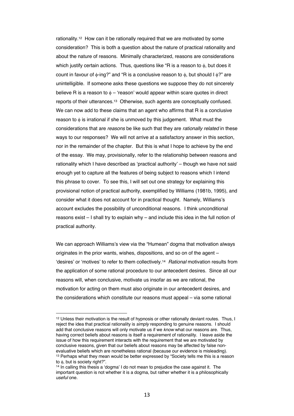rationality.12 How can it be rationally required that we are motivated by some consideration? This is both a question about the nature of practical rationality and about the nature of reasons. Minimally characterized, reasons are considerations which justify certain actions. Thus, questions like "R is a reason to  $\phi$ , but does it count in favour of  $\phi$ -ing?" and "R is a conclusive reason to  $\phi$ , but should I  $\phi$ ?" are unintelligible. If someone asks these questions we suppose they do not sincerely believe R is a reason to  $\phi$  – 'reason' would appear within scare quotes in direct reports of their utterances.13 Otherwise, such agents are conceptually confused. We can now add to these claims that an agent who affirms that R is a conclusive reason to  $\phi$  is irrational if she is unmoved by this judgement. What must the considerations that are *reasons* be like such that they are *rationally related* in these ways to our responses? We will not arrive at a satisfactory answer in this section, nor in the remainder of the chapter. But this is what I hope to achieve by the end of the essay. We may, provisionally, refer to the relationship between reasons and rationality which I have described as 'practical authority' – though we have not said enough yet to capture all the features of being subject to reasons which I intend this phrase to cover. To see this, I will set out one strategy for explaining this provisional notion of practical authority, exemplified by Williams (1981b, 1995), and consider what it does not account for in practical thought. Namely, Williams's account excludes the possibility of unconditional reasons. I think unconditional reasons exist – I shall try to explain why – and include this idea in the full notion of practical authority.

We can approach Williams's view via the "Humean" dogma that motivation always originates in the prior wants, wishes, dispositions, and so on of the agent – 'desires' or 'motives' to refer to them collectively.14 *Rational* motivation results from the application of some rational procedure to our antecedent desires. Since all our reasons will, when conclusive, motivate us insofar as we are rational, the motivation for acting on them must also originate in our antecedent desires, and the considerations which constitute our reasons must appeal – via some rational

<sup>12</sup> Unless their motivation is the result of hypnosis or other rationally deviant routes. Thus, I reject the idea that practical rationality is *simply* responding to genuine reasons. I should add that conclusive reasons will only motivate us if we *know* what our reasons are. Thus, having correct beliefs about reasons is itself a requirement of rationality. I leave aside the issue of how this requirement interacts with the requirement that we are motivated by conclusive reasons, given that our beliefs about reasons may be affected by false nonevaluative beliefs which are nonetheless rational (because our evidence is misleading). <sup>13</sup> Perhaps what they mean would be better expressed by "Society tells me this is a reason to  $\phi$ , but is society right?".

<sup>14</sup> In calling this thesis a 'dogma' I do not mean to prejudice the case against it. The important question is not whether it is a dogma, but rather whether it is a philosophically *useful* one.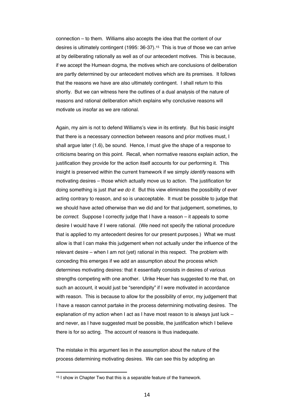connection – to them. Williams also accepts the idea that the content of our desires is ultimately contingent (1995: 36-37).15 This is true of those we can arrive at by deliberating rationally as well as of our antecedent motives. This is because, if we accept the Humean dogma, the motives which are conclusions of deliberation are partly determined by our antecedent motives which are its premises. It follows that the reasons we have are also ultimately contingent. I shall return to this shortly. But we can witness here the outlines of a dual analysis of the nature of reasons and rational deliberation which explains why conclusive reasons will motivate us insofar as we are rational.

Again, my aim is not to defend Williams's view in its entirety. But his basic insight that there is a necessary connection between reasons and prior motives must, I shall argue later (1.6), be sound. Hence, I must give the shape of a response to criticisms bearing on this point. Recall, when normative reasons explain action, the justification they provide for the action itself accounts for our performing it. This insight is preserved within the current framework if we simply *identify* reasons with motivating desires – those which actually move us to action. The justification for doing something is just *that we do it*. But this view eliminates the possibility of ever acting contrary to reason, and so is unacceptable. It must be possible to judge that we should have acted otherwise than we did and for that judgement, sometimes, to be *correct.* Suppose I correctly judge that I have a reason – it appeals to some desire I would have if I were rational. (We need not specify the rational procedure that is applied to my antecedent desires for our present purposes.) What we must allow is that I can make this judgement when not actually under the influence of the relevant desire – when I am not (yet) rational in this respect. The problem with conceding this emerges if we add an assumption about the process which determines motivating desires: that it essentially consists in desires of various strengths competing with one another. Ulrike Heuer has suggested to me that, on such an account, it would just be "serendipity" if I were motivated in accordance with reason. This is because to allow for the possibility of error, my judgement that I have a reason cannot partake in the process determining motivating desires. The explanation of my action when I act as I have most reason to is always just luck – and never, as I have suggested must be possible, the justification which I believe there is for so acting. The account of reasons is thus inadequate.

The mistake in this argument lies in the assumption about the nature of the process determining motivating desires. We can see this by adopting an

<sup>&</sup>lt;sup>15</sup> I show in Chapter Two that this is a separable feature of the framework.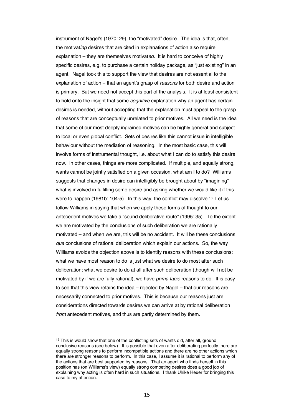instrument of Nagel's (1970: 29), the "motivated" desire. The idea is that, often, the motivat*ing* desires that are cited in explanations of action also require explanation – they are themselves motivat*ed*. It is hard to conceive of highly specific desires, e.g. to purchase a certain holiday package, as "just existing" in an agent. Nagel took this to support the view that desires are not essential to the explanation of action – that an agent's grasp of *reasons* for both desire and action is primary. But we need not accept this part of the analysis. It is at least consistent to hold onto the insight that some *cognitive* explanation why an agent has certain desires is needed, without accepting that the explanation must appeal to the grasp of reasons that are conceptually unrelated to prior motives. All we need is the idea that some of our most deeply ingrained motives can be highly general and subject to local or even global conflict. Sets of desires like this cannot issue in intelligible behaviour without the mediation of reasoning. In the most basic case, this will involve forms of instrumental thought, i.e. about what I can do to satisfy this desire now. In other cases, things are more complicated. If multiple, and equally strong, wants cannot be jointly satisfied on a given occasion, what am I to do? Williams suggests that changes in desire can intelligibly be brought about by "imagining" what is involved in fulfilling some desire and asking whether we would like it if this were to happen (1981b: 104-5). In this way, the conflict may dissolve.<sup>16</sup> Let us follow Williams in saying that when we apply these forms of thought to our antecedent motives we take a "sound deliberative route" (1995: 35). To the extent we are motivated by the conclusions of such deliberation we are rationally motivated – and when we are, this will be no accident. It will be these conclusions *qua* conclusions of rational deliberation which explain our actions. So, the way Williams avoids the objection above is to identify reasons with these conclusions: what we have most reason to do is just what we desire to do most after such deliberation; what we desire to do at all after such deliberation (though will not be motivated by if we are fully rational), we have *prima facie* reasons to do. It is easy to see that this view retains the idea – rejected by Nagel – that our reasons are necessarily connected to prior motives. This is because our reasons just are considerations directed towards desires we can arrive at by rational deliberation *from* antecedent motives, and thus are partly determined by them.

<sup>&</sup>lt;sup>16</sup> This is would show that one of the conflicting sets of wants did, after all, ground conclusive reasons (see below). It is possible that even after deliberating perfectly there are equally strong reasons to perform incompatible actions and there are no other actions which there are stronger reasons to perform. In this case, I assume it is rational to perform any of the actions that are best supported by reasons. That an agent who finds herself in this position has (on Williams's view) equally strong competing desires does a good job of explaining why acting is often hard in such situations. I thank Ulrike Heuer for bringing this case to my attention.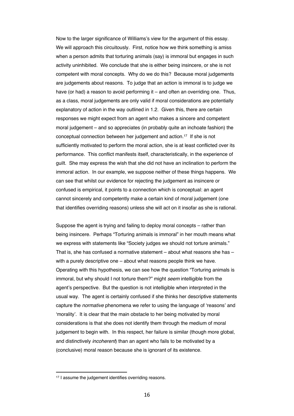Now to the larger significance of Williams's view for the argument of this essay. We will approach this circuitously. First, notice how we think something is amiss when a person admits that torturing animals (say) is immoral but engages in such activity uninhibited. We conclude that she is either being insincere, or she is not competent with moral concepts. Why do we do this? Because moral judgements are judgements about reasons. To judge that an action is immoral is to judge we have (or had) a reason to avoid performing it – and often an overriding one. Thus, as a class, moral judgements are only valid if moral considerations are potentially explanatory of action in the way outlined in 1.2. Given this, there are certain responses we might expect from an agent who makes a sincere and competent moral judgement – and so appreciates (in probably quite an inchoate fashion) the conceptual connection between her judgement and action.17 If she is not sufficiently motivated to perform the moral action, she is at least conflicted over its performance. This conflict manifests itself, characteristically, in the experience of guilt. She may express the wish that she did not have an inclination to perform the immoral action. In our example, we suppose neither of these things happens. We can see that whilst our evidence for rejecting the judgement as insincere or confused is empirical, it points to a connection which is conceptual: an agent cannot sincerely and competently make a certain kind of moral judgement (one that identifies overriding reasons) unless she will act on it insofar as she is rational.

Suppose the agent is trying and failing to deploy moral concepts – rather than being insincere. Perhaps "Torturing animals is immoral" in her mouth means what we express with statements like "Society judges we should not torture animals." That is, she has confused a normative statement – about what reasons she has – with a purely descriptive one – about what reasons people think we have. Operating with this hypothesis, we can see how the question "Torturing animals is immoral, but why should I not torture them?" might *seem* intelligible from the agent's perspective. But the question is not intelligible when interpreted in the usual way. The agent is certainly confused if she thinks her descriptive statements capture the *normative* phenomena we refer to using the language of 'reasons' and 'morality'. It is clear that the main obstacle to her being motivated by moral considerations is that she does not identify them through the medium of moral judgement to begin with. In this respect, her failure is similar (though more global, and distinctively *incoherent*) than an agent who fails to be motivated by a (conclusive) moral reason because she is ignorant of its existence.

<sup>17</sup> I assume the judgement identifies overriding reasons.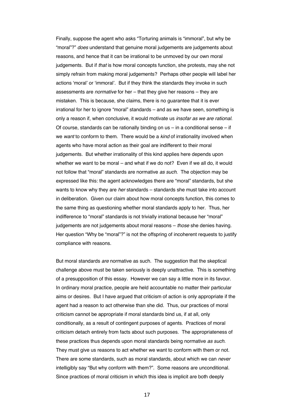Finally, suppose the agent who asks "Torturing animals is "immoral", but why be "moral"?" *does* understand that genuine moral judgements are judgements about reasons, and hence that it can be irrational to be unmoved by our own moral judgements. But if *that* is how moral concepts function, she protests, may she not simply refrain from making moral judgements? Perhaps other people will label her actions 'moral' or 'immoral'. But if they think the standards they invoke in such assessments are *normative* for her – that they give her reasons – they are mistaken. This is because, she claims, there is no guarantee that it is ever irrational for her to ignore "moral" standards – and as we have seen, something is only a reason if, when conclusive, it would motivate us *insofar as we are rational*. Of course, standards can be rationally binding on  $us - in$  a conditional sense  $-$  if we *want* to conform to them. There would be a *kind* of irrationality involved when agents who have moral action as their goal are indifferent to their moral judgements. But whether irrationality of this kind applies here depends upon whether we want to be moral – and what if we do not? Even if we all do, it would not follow that "moral" standards are normative *as such*. The objection may be expressed like this: the agent acknowledges there are "moral" standards, but she wants to know why they are *her* standards – standards she must take into account in deliberation. Given our claim about how moral concepts function, this comes to the same thing as questioning whether moral standards apply to her. Thus, her indifference to "moral" standards is not trivially irrational because her "moral" judgements are not judgements about moral reasons – *those* she denies having. Her question "Why be "moral"?" is not the offspring of incoherent requests to justify compliance with reasons.

But moral standards *are* normative as such. The suggestion that the skeptical challenge above must be taken seriously is deeply unattractive. This is something of a presupposition of this essay. However we can say a little more in its favour. In ordinary moral practice, people are held accountable no matter their particular aims or desires. But I have argued that criticism of action is only appropriate if the agent had a reason to act otherwise than she did. Thus, our practices of moral criticism cannot be appropriate if moral standards bind us, if at all, only conditionally, as a result of contingent purposes of agents. Practices of moral criticism detach entirely from facts about such purposes. The appropriateness of these practices thus depends upon moral standards being normative *as such*. They must give us reasons to act whether we want to conform with them or not. There are some standards, such as moral standards, about which we can *never* intelligibly say "But why conform with them?". Some reasons are unconditional. Since practices of moral criticism in which this idea is implicit are both deeply

17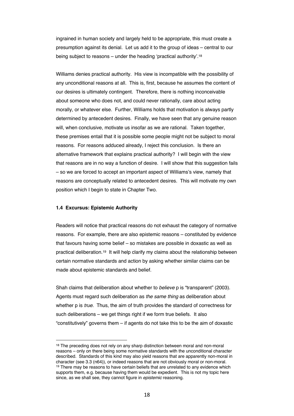ingrained in human society and largely held to be appropriate, this must create a presumption against its denial. Let us add it to the group of ideas – central to our being subject to reasons – under the heading 'practical authority'.18

Williams denies practical authority. His view is incompatible with the possibility of any unconditional reasons at all. This is, first, because he assumes the content of our desires is ultimately contingent. Therefore, there is nothing inconceivable about someone who does not, and could never rationally, care about acting morally, or whatever else. Further, Williams holds that motivation is always partly determined by antecedent desires. Finally, we have seen that any genuine reason will, when conclusive, motivate us insofar as we are rational. Taken together, these premises entail that it is possible some people might not be subject to moral reasons. For reasons adduced already, I reject this conclusion. Is there an alternative framework that explains practical authority? I will begin with the view that reasons are in no way a function of desire. I will show that this suggestion fails – so we are forced to accept an important aspect of Williams's view, namely that reasons are conceptually related to antecedent desires. This will motivate my own position which I begin to state in Chapter Two.

#### **1.4 Excursus: Epistemic Authority**

Readers will notice that practical reasons do not exhaust the category of normative reasons. For example, there are also epistemic reasons – constituted by evidence that favours having some belief – so mistakes are possible in doxastic as well as practical deliberation.19 It will help clarify my claims about the relationship between certain normative standards and action by asking whether similar claims can be made about epistemic standards and belief.

Shah claims that deliberation about whether to *believe* p is "transparent" (2003). Agents must regard such deliberation as *the same thing* as deliberation about whether p is *true*. Thus, the aim of truth provides the standard of correctness for such deliberations – we get things right if we form true beliefs. It also "constitutively" governs them – if agents do not take this to be the aim of doxastic

<sup>&</sup>lt;sup>18</sup> The preceding does not rely on any sharp distinction between moral and non-moral reasons – only on there being some normative standards with the unconditional character described. Standards of this kind may also yield reasons that are apparently non-moral in character (see 3.3 (n64)), or indeed reasons that are not obviously moral or non-moral. <sup>19</sup> There may be reasons to have certain beliefs that are unrelated to any evidence which supports them, e.g. because having them would be expedient. This is not my topic here since, as we shall see, they cannot figure in *epistemic* reasoning.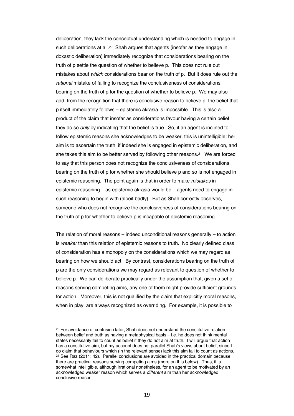deliberation, they lack the conceptual understanding which is needed to engage in such deliberations at all.<sup>20</sup> Shah argues that agents (insofar as they engage in doxastic deliberation) immediately recognize that considerations bearing on the truth of p settle the question of whether to believe p. This does not rule out mistakes about *which* considerations bear on the truth of p. But it does rule out the *rational* mistake of failing to recognize the conclusiveness of considerations bearing on the truth of p for the question of whether to believe p. We may also add, from the recognition that there is conclusive reason to believe p, the belief that p itself immediately follows – epistemic akrasia is impossible. This is also a product of the claim that insofar as considerations favour having a certain belief, they do so *only* by indicating that the belief is true. So, if an agent is inclined to follow epistemic reasons she acknowledges to be weaker, this is unintelligible: her aim is to ascertain the truth, if indeed she is engaged in epistemic deliberation, and she takes this aim to be better served by following other reasons.21 We are forced to say that this person does not recognize the conclusiveness of considerations bearing on the truth of p for whether she should believe p and so is not engaged in epistemic reasoning. The point again is that in order to make *mistakes* in epistemic reasoning – as epistemic akrasia would be – agents need to engage in such reasoning to begin with (albeit badly). But as Shah correctly observes, someone who does not recognize the conclusiveness of considerations bearing on the truth of p for whether to believe p is incapable of epistemic reasoning.

The relation of moral reasons – indeed unconditional reasons generally – to action is *weaker* than this relation of epistemic reasons to truth. No clearly defined class of consideration has a monopoly on the considerations which we may regard as bearing on how we should act. By contrast, considerations bearing on the truth of p are the only considerations we may regard as relevant to question of whether to believe p. We can deliberate practically under the assumption that, given a set of reasons serving competing aims, any one of them might provide sufficient grounds for action. Moreover, this is not qualified by the claim that explicitly moral reasons, when in play, are always recognized as overriding. For example, it is possible to

<sup>&</sup>lt;sup>20</sup> For avoidance of confusion later. Shah does not understand the constitutive relation between belief and truth as having a metaphysical basis – i.e. he does not think mental states necessarily fail to count as belief if they do not aim at truth. I will argue that action has a constitutive aim, but my account does not parallel Shah's views about belief, since I do claim that behaviours which (in the relevant sense) lack this aim fail to count as actions.  $21$  See Raz (2011: 42). Parallel conclusions are avoided in the practical domain because there are practical reasons serving competing aims (more on this below). Thus, it is somewhat intelligible, although irrational nonetheless, for an agent to be motivated by an acknowledged weaker reason which serves a *different* aim than her acknowledged conclusive reason.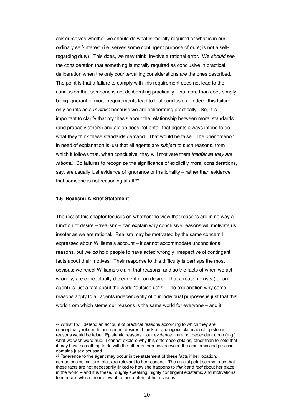ask ourselves whether we should do what is morally required or what is in our ordinary self-interest (i.e. serves some contingent purpose of ours; is not a selfregarding duty). This does, we may think, involve a rational error. We *should* see the consideration that something is morally required as conclusive in practical deliberation when the only countervailing considerations are the ones described. The point is that a failure to comply with this requirement does not lead to the conclusion that someone is not deliberating practically – no more than does simply being ignorant of moral requirements lead to that conclusion. Indeed this failure only counts as a *mistake* because we are deliberating practically. So, it is important to clarify that my thesis about the relationship between moral standards (and probably others) and action does not entail that agents always intend to do what they think these standards demand. That would be false. The phenomenon in need of explanation is just that all agents are *subject* to such reasons, from which it follows that, when conclusive, they will motivate them *insofar as they are rational*. So failures to recognize the significance of explicitly moral considerations, say, are usually just evidence of ignorance or irrationality – rather than evidence that someone is not reasoning at all.<sup>22</sup>

#### **1.5 Realism: A Brief Statement**

The rest of this chapter focuses on whether the view that reasons are in no way a function of desire – 'realism' – can explain why conclusive reasons will motivate us insofar as we are rational. Realism may be motivated by the same concern I expressed about Williams's account – it cannot accommodate unconditional reasons, but we *do* hold people to have acted wrongly irrespective of contingent facts about their motives. Their response to this difficulty is perhaps the most obvious: we reject Williams's claim that reasons, and so the facts of when we act wrongly, are conceptually dependent upon desire. That a reason exists (for an agent) is just a fact about the world "outside us".23 The explanation why some reasons apply to all agents independently of our individual purposes is just that this world from which stems our reasons is the same world for everyone – and it

<sup>22</sup> Whilst I will defend an account of practical reasons according to which they are conceptually related to antecedent desires, I think an analogous claim about epistemic reasons would be false. Epistemic reasons – our evidence – are not dependent upon (e.g.) what we wish were true. I cannot explore why this difference obtains, other than to note that it may have something to do with the other differences between the epistemic and practical domains just discussed.

<sup>&</sup>lt;sup>23</sup> Reference to the agent may occur in the statement of these facts if her location, competencies, culture, etc., are relevant to her reasons. The crucial point seems to be that these facts are not necessarily linked to how she happens to *think* and *feel* about her place in the world – and it is these, roughly speaking, highly contingent epistemic and motivational tendencies which are irrelevant to the content of her reasons.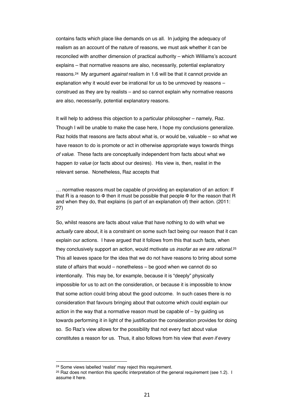contains facts which place like demands on us all. In judging the adequacy of realism as an account of the nature of reasons, we must ask whether it can be reconciled with another dimension of practical authority – which Williams's account explains – that normative reasons are also, necessarily, potential explanatory reasons.24 My argument *against* realism in 1.6 will be that it cannot provide an explanation why it would ever be irrational for us to be unmoved by reasons – construed as they are by realists – and so cannot explain why normative reasons are also, necessarily, potential explanatory reasons.

It will help to address this objection to a particular philosopher – namely, Raz. Though I will be unable to make the case here, I hope my conclusions generalize. Raz holds that reasons are facts about what is, or would be, valuable – so what we have reason to do is promote or act in otherwise appropriate ways towards things *of value*. These facts are conceptually independent from facts about what we happen *to value* (or facts about our desires). His view is, then, realist in the relevant sense. Nonetheless, Raz accepts that

… normative reasons must be capable of providing an explanation of an action: If that R is a reason to Φ then it must be possible that people Φ for the reason that R and when they do, that explains (is part of an explanation of) their action. (2011: 27)

So, whilst reasons are facts about value that have nothing to do with what we *actually* care about, it is a constraint on some such fact being our reason that it can explain our actions. I have argued that it follows from this that such facts, when they conclusively support an action, would motivate us *insofar as we are rational*.25 This all leaves space for the idea that we do not have reasons to bring about some state of affairs that would – nonetheless – be good when we cannot do so intentionally. This may be, for example, because it is "deeply" physically impossible for us to act on the consideration, or because it is impossible to know that some action could bring about the good outcome. In such cases there is no consideration that favours bringing about that outcome which could explain our action in the way that a normative reason must be capable of – by guiding us towards performing it in light of the justification the consideration provides for doing so. So Raz's view allows for the possibility that not every fact about value constitutes a reason for us. Thus, it also follows from his view that *even if* every

<sup>24</sup> Some views labelled 'realist' may reject this requirement.

<sup>&</sup>lt;sup>25</sup> Raz does not mention this specific interpretation of the general requirement (see 1.2). I assume it here.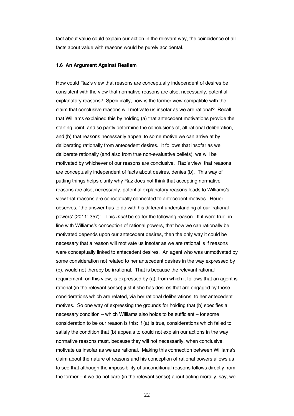fact about value could explain our action in the relevant way, the coincidence of all facts about value with reasons would be purely accidental.

#### **1.6 An Argument Against Realism**

How could Raz's view that reasons are conceptually independent of desires be consistent with the view that normative reasons are also, necessarily, potential explanatory reasons? Specifically, how is the former view compatible with the claim that conclusive reasons will motivate us insofar as we are rational? Recall that Williams explained this by holding (a) that antecedent motivations provide the starting point, and so partly determine the conclusions of, all rational deliberation, and (b) that reasons necessarily appeal to some motive we can arrive at by deliberating rationally from antecedent desires. It follows that insofar as we deliberate rationally (and also from true non-evaluative beliefs), we will be motivated by whichever of our reasons are conclusive. Raz's view, that reasons are conceptually independent of facts about desires, denies (b). This way of putting things helps clarify why Raz does not think that accepting normative reasons are also, necessarily, potential explanatory reasons leads to Williams's view that reasons are conceptually connected to antecedent motives. Heuer observes, "the answer has to do with his different understanding of our 'rational powers' (2011: 357)". This *must* be so for the following reason. If it were true, in line with Williams's conception of rational powers, that how we can rationally be motivated depends upon our antecedent desires, then the only way it could be necessary that a reason will motivate us insofar as we are rational is if reasons were conceptually linked to antecedent desires. An agent who was unmotivated by some consideration not related to her antecedent desires in the way expressed by (b), would not thereby be irrational. That is because the relevant rational requirement, on this view, is expressed by (a), from which it follows that an agent is rational (in the relevant sense) just if she has desires that are engaged by those considerations which are related, via her rational deliberations, to her antecedent motives. So one way of expressing the grounds for holding that (b) specifies a necessary condition – which Williams also holds to be sufficient – for some consideration to be our reason is this: if (a) is true, considerations which failed to satisfy the condition that (b) appeals to could not explain our actions in the way normative reasons must, because they will not necessarily, when conclusive, motivate us insofar as we are rational. Making this connection between Williams's claim about the nature of reasons and his conception of rational powers allows us to see that although the impossibility of unconditional reasons follows directly from the former – if we do not care (in the relevant sense) about acting morally, say, we

22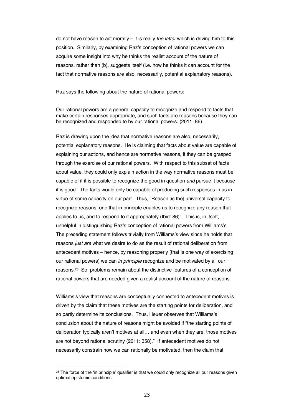do not have reason to act morally – it is really *the latter* which is driving him to this position. Similarly, by examining Raz's conception of rational powers we can acquire some insight into why he thinks the realist account of the nature of reasons, rather than (b), suggests itself (i.e. how he thinks it can account for the fact that normative reasons are also, necessarily, potential explanatory reasons).

Raz says the following about the nature of rational powers:

Our rational powers are a general capacity to recognize and respond to facts that make certain responses appropriate, and such facts are reasons because they can be recognized and responded to by our rational powers. (2011: 86)

Raz is drawing upon the idea that normative reasons are also, necessarily, potential explanatory reasons. He is claiming that facts about value are capable of explaining our actions, and hence are normative reasons, if they can be grasped through the exercise of our rational powers. With respect to this subset of facts about value, they could only explain action in the way normative reasons must be capable of if it is possible to recognize the good in question *and* pursue it because it is good. The facts would only be capable of producing such responses in us in virtue of some capacity on our part. Thus, "Reason [is the] universal capacity to recognize reasons, one that in principle enables us to recognize any reason that applies to us, and to respond to it appropriately (Ibid: 86)". This is, in itself, unhelpful in distinguishing Raz's conception of rational powers from Williams's. The preceding statement follows trivially from Williams's view since he holds that reasons *just are* what we desire to do as the result of rational deliberation from antecedent motives – hence, by reasoning properly (that is one way of exercising our rational powers) we can *in principle* recognize and be motivated by all our reasons.26 So, problems remain about the distinctive features of a conception of rational powers that are needed given a realist account of the nature of reasons.

Williams's view that reasons are conceptually connected to antecedent motives is driven by the claim that these motives are the starting points for deliberation, and so partly determine its conclusions. Thus, Heuer observes that Williams's conclusion about the nature of reasons might be avoided if "the starting points of deliberation typically aren't motives at all… and even when they are, those motives are not beyond rational scrutiny (2011: 358)." If antecedent motives do not necessarily constrain how we can rationally be motivated, then the claim that

<sup>&</sup>lt;sup>26</sup> The force of the 'in principle' qualifier is that we could only recognize all our reasons given optimal epistemic conditions.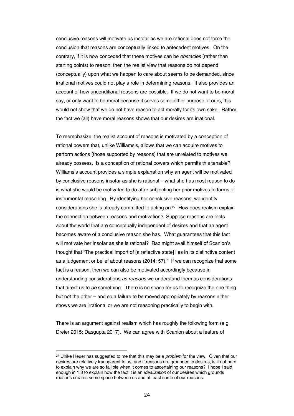conclusive reasons will motivate us insofar as we are rational does not force the conclusion that reasons are conceptually linked to antecedent motives. On the contrary, if it is now conceded that these motives can be *obstacles* (rather than starting points) to reason, then the realist view that reasons do not depend (conceptually) upon what we happen to care about seems to be demanded, since irrational motives could not play a role in determining reasons. It also provides an account of how unconditional reasons are possible. If we do not want to be moral, say, or only want to be moral because it serves some other purpose of ours, this would not show that we do not have reason to act morally for its own sake. Rather, the fact we (all) have moral reasons shows that our desires are irrational.

To reemphasize, the realist account of reasons is motivated by a conception of rational powers that, unlike Williams's, allows that we can acquire motives to perform actions (those supported by reasons) that are unrelated to motives we already possess. Is a conception of rational powers which permits this tenable? Williams's account provides a simple explanation why an agent will be motivated by conclusive reasons insofar as she is rational – what she has most reason to do is what she would be motivated to do after subjecting her prior motives to forms of instrumental reasoning. By identifying her conclusive reasons, we identify considerations she is already committed to acting on.27 How does realism explain the connection between reasons and motivation? Suppose reasons are facts about the world that are conceptually independent of desires and that an agent becomes aware of a conclusive reason she has. What guarantees that this fact will motivate her insofar as she is rational? Raz might avail himself of Scanlon's thought that "The practical import of [a reflective state] lies in its distinctive content as a judgement or belief about reasons (2014: 57)." If we can recognize that some fact is a reason, then we can also be motivated accordingly because in understanding considerations *as reasons* we understand them as considerations that direct us to *do* something. There is no space for us to recognize the one thing but not the other – and so a failure to be moved appropriately by reasons either shows we are irrational or we are not reasoning practically to begin with.

There is an argument against realism which has roughly the following form (e.g. Dreier 2015; Dasgupta 2017). We can agree with Scanlon about a feature of

<sup>27</sup> Ulrike Heuer has suggested to me that this may be a *problem* for the view. Given that our desires are relatively transparent to us, and if reasons are grounded in desires, is it not hard to explain why we are so fallible when it comes to ascertaining our reasons? I hope I said enough in 1.3 to explain how the fact it is an *idealization* of our desires which grounds reasons creates some space between us and at least some of our reasons.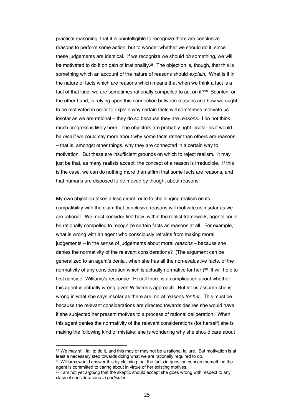practical reasoning: that it is unintelligible to recognize there are conclusive reasons to perform some action, but to wonder whether we should do it, since these judgements are identical. If we recognize we should *do* something, we will be motivated to do it on pain of irrationality.<sup>28</sup> The objection is, though, that this is something which an account of the nature of reasons should *explain.* What is it in the nature of facts which are reasons which means that when we think a fact is a fact of that kind, we are sometimes rationally compelled to act on it?<sup>29</sup> Scanlon, on the other hand, is relying upon this connection between reasons and how we ought to be motivated in order to explain why certain facts will sometimes motivate us insofar as we are rational – they do so because they *are reasons*. I do not think much progress is likely here. The objectors are probably right insofar as it would be *nice* if we could say more about why some facts rather than others are reasons – that is, amongst other things, why they are connected in a certain way to motivation. But these are insufficient grounds on which to reject realism. It may just be that, as many realists accept, the concept of a reason is irreducible. If this is the case, we can do nothing more than affirm that some facts are reasons, and that humans are disposed to be moved by thought about reasons.

My own objection takes a less direct route to challenging realism on its compatibility with the claim that conclusive reasons will motivate us insofar as we are rational. We must consider first how, within the realist framework, agents could be rationally compelled to recognize certain facts as reasons at all. For example, what is wrong with an agent who consciously refrains from making moral judgements – in the sense of judgements about moral *reasons* – because she denies the normativity of the relevant considerations? (The argument can be generalized to an agent's denial, when she has all the non-evaluative facts, of the normativity of any consideration which is actually normative for her.) $30$  It will help to first consider Williams's response. Recall there is a complication about whether this agent *is* actually wrong given Williams's approach. But let us assume she is wrong in what she says insofar as there are moral reasons *for her*. This must be because the relevant considerations are directed towards desires she would have if she subjected her present motives to a process of rational deliberation. When this agent denies the normativity of the relevant considerations (for herself) she is making the following kind of mistake: she is wondering why she should care about

<sup>28</sup> We may still fail to do it, and this may or may not be a rational failure. But motivation is at least a necessary step towards doing what we are rationally required to do.

<sup>&</sup>lt;sup>29</sup> Williams would answer this by claiming that the facts in question concern something the agent is committed to caring about in virtue of her existing motives.

<sup>30</sup> I am not yet *arguing* that the skeptic should accept she goes wrong with respect to any class of considerations *in particular*.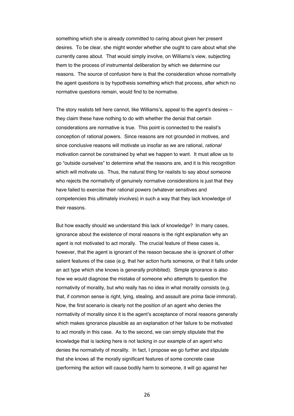something which she is already committed to caring about given her present desires. To be clear, she might wonder whether she ought to care about what she currently cares about. That would simply involve, on Williams's view, subjecting them to the process of instrumental deliberation by which we determine our reasons. The source of confusion here is that the consideration whose normativity the agent questions is by hypothesis something which that process, after which no normative questions remain, would find to be normative.

The story realists tell here cannot, like Williams's, appeal to the agent's desires – they claim these have nothing to do with whether the denial that certain considerations are normative is true. This point is connected to the realist's conception of rational powers. Since reasons are not grounded in motives, and since conclusive reasons will motivate us insofar as we are rational, *rational* motivation cannot be constrained by what we happen to want. It must allow us to go "outside ourselves" to determine what the reasons are, and it is this recognition which will motivate us. Thus, the natural thing for realists to say about someone who rejects the normativity of genuinely normative considerations is just that they have failed to exercise their rational powers (whatever sensitives and competencies this ultimately involves) in such a way that they lack knowledge of their reasons.

But how exactly should we understand this lack of knowledge? In many cases, ignorance about the existence of moral reasons is the right explanation why an agent is not motivated to act morally. The crucial feature of these cases is, however, that the agent is ignorant of the reason because she is ignorant of other salient features of the case (e.g. that her action hurts someone, or that it falls under an act type which she knows is generally prohibited). Simple ignorance is also how we would diagnose the mistake of someone who attempts to question the normativity of morality, but who really has no idea in what morality consists (e.g. that, if common sense is right, lying, stealing, and assault are *prima facie* immoral). Now, the first scenario is clearly not the position of an agent who denies the normativity of morality since it is the agent's acceptance of moral reasons generally which makes ignorance plausible as an explanation of her failure to be motivated to act morally in this case. As to the second, we can simply stipulate that the knowledge that is lacking here is not lacking in our example of an agent who denies the normativity of morality. In fact, I propose we go further and stipulate that she knows all the morally significant features of some concrete case (performing the action will cause bodily harm to someone, it will go against her

26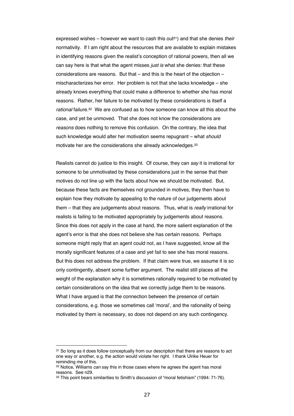expressed wishes – however we want to cash this out<sup>31</sup>) and that she denies *their* normativity. If I am right about the resources that are available to explain mistakes in identifying reasons given the realist's conception of rational powers, then all we can say here is that what the agent misses *just is* what she denies: that these considerations are reasons. But that  $-$  and this is the heart of the objection  $$ mischaracterizes her error. Her problem is not that she lacks knowledge – she already knows everything that could make a difference to whether she has moral reasons. Rather, her failure to be motivated by these considerations is itself a *rational* failure.32 We are confused as to how someone can know all this about the case, and yet be unmoved. That she does not know the considerations are *reasons* does nothing to remove this confusion. On the contrary, the idea that such knowledge would alter her motivation seems repugnant – what *should*  motivate her are the considerations she already acknowledges.33

Realists cannot do justice to this insight. Of course, they can *say* it is irrational for someone to be unmotivated by these considerations just in the sense that their motives do not line up with the facts about how we should be motivated. But, because these facts are themselves not grounded in motives, they then have to explain how they motivate by appealing to the nature of our judgements about them – that they are judgements about reasons. Thus, what is *really* irrational for realists is failing to be motivated appropriately by judgements about reasons. Since this does not apply in the case at hand, the more salient explanation of the agent's error is that she does not believe she has certain reasons. Perhaps someone might reply that an agent could not, as I have suggested, know all the morally significant features of a case and yet fail to see she has moral reasons. But this does not address the problem. If that claim were true, we assume it is so only contingently, absent some further argument. The realist still places all the weight of the explanation why it is sometimes rationally required to be motivated by certain considerations on the idea that we correctly judge them to be reasons. What I have argued is that the connection between the presence of certain considerations, e.g. those we sometimes call 'moral', and the rationality of being motivated by them is necessary, so does not depend on any such contingency.

<sup>&</sup>lt;sup>31</sup> So long as it does follow conceptually from our description that there are reasons to act one way or another, e.g. the action would violate her right. I thank Ulrike Heuer for reminding me of this.

<sup>32</sup> Notice, Williams *can* say this in those cases where he agrees the agent has moral reasons. See n29.

<sup>33</sup> This point bears similarities to Smith's discussion of "moral fetishism" (1994: 71-76).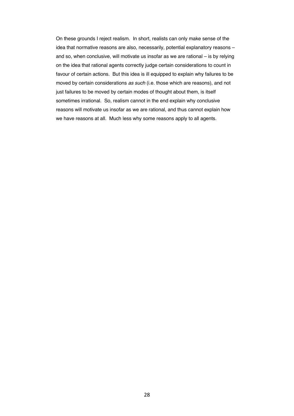On these grounds I reject realism. In short, realists can only make sense of the idea that normative reasons are also, necessarily, potential explanatory reasons – and so, when conclusive, will motivate us insofar as we are rational – is by relying on the idea that rational agents correctly judge certain considerations to count in favour of certain actions. But this idea is ill equipped to explain why failures to be moved by certain considerations *as such* (i.e. those which are reasons), and not just failures to be moved by certain modes of thought about them, is itself sometimes irrational. So, realism cannot in the end explain why conclusive reasons will motivate us insofar as we are rational, and thus cannot explain how we have reasons at all. Much less why some reasons apply to all agents.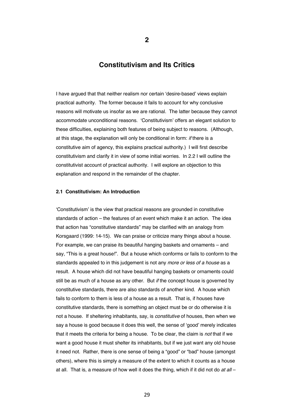# **Constitutivism and Its Critics**

I have argued that that neither realism nor certain 'desire-based' views explain practical authority. The former because it fails to account for why conclusive reasons will motivate us insofar as we are rational. The latter because they cannot accommodate unconditional reasons. 'Constitutivism' offers an elegant solution to these difficulties, explaining both features of being subject to reasons. (Although, at this stage, the explanation will only be conditional in form: *if* there is a constitutive aim of agency, this explains practical authority.) I will first describe constitutivism and clarify it in view of some initial worries. In 2.2 I will outline the constitutivist account of practical authority. I will explore an objection to this explanation and respond in the remainder of the chapter.

#### **2.1 Constitutivism: An Introduction**

'Constitutivism' is the view that practical reasons are grounded in constitutive standards of action – the features of an event which make it an action. The idea that action has "constitutive standards" may be clarified with an analogy from Korsgaard (1999: 14-15). We can praise or criticize many things about a house. For example, we can praise its beautiful hanging baskets and ornaments – and say, "This is a great house!". But a house which conforms or fails to conform to the standards appealed to in this judgement is not any *more or less of a house* as a result. A house which did not have beautiful hanging baskets or ornaments could still be as much of a house as any other. But *if* the concept house is governed by constitutive standards, there are also standards of another kind. A house which fails to conform to them is less of a house as a result. That is, if houses have constitutive standards, there is something an object must be or do otherwise it is not a house. If sheltering inhabitants, say, is *constitutive* of houses, then when we say a house is good because it does this well, the sense of 'good' merely indicates that it meets the criteria for being a house. To be clear, the claim is *not* that if we want a good house it must shelter its inhabitants, but if we just want any old house it need not. Rather, there is one sense of being a "good" or "bad" house (amongst others), where this is simply a measure of the extent to which it counts as a house at all. That is, a measure of how well it does the thing, which if it did not do *at all* –

**2**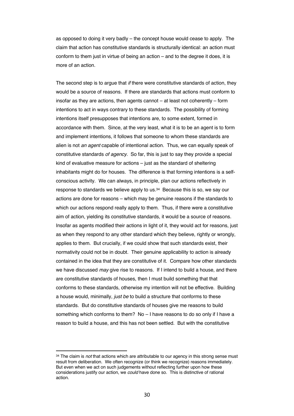as opposed to doing it very badly – the concept house would cease to apply. The claim that action has constitutive standards is structurally identical: an action must conform to them just in virtue of being an action – and to the degree it does, it is more of an action.

The second step is to argue that *if* there were constitutive standards of action, they would be a source of reasons. If there are standards that actions must conform to insofar as they are actions, then agents cannot – at least not coherently – form intentions to act in ways contrary to these standards. The possibility of forming intentions itself presupposes that intentions are, to some extent, formed in accordance with them. Since, at the very least, what it is to be an agent is to form and implement intentions, it follows that someone to whom these standards are alien is not *an agent* capable of intentional action. Thus, we can equally speak of constitutive standards *of agency*. So far, this is just to say they provide a special kind of evaluative measure for actions – just as the standard of sheltering inhabitants might do for houses. The difference is that forming intentions is a selfconscious activity. We can always, in principle, plan our actions reflectively in response to standards we believe apply to us.34 Because this is so, we say our actions are done for reasons – which may be genuine reasons if the standards to which our actions respond really apply to them. Thus, if there were a constitutive aim of action, yielding its constitutive standards, it would be a source of reasons. Insofar as agents modified their actions in light of it, they would act for reasons, just as when they respond to any other standard which they believe, rightly or wrongly, applies to them. But crucially, if we could show that such standards exist, their normativity could not be in doubt*.* Their genuine applicability to action is already contained in the idea that they are constitutive of it. Compare how other standards we have discussed *may* give rise to reasons. If I intend to build a house, and there are constitutive standards of houses, then I must build something that that conforms to these standards, otherwise my intention will not be effective. Building a house would, minimally, *just be* to build a structure that conforms to these standards. But do constitutive standards of houses give me reasons to build something which conforms to them? No – I have reasons to do so only if I have a reason to build a house, and this has not been settled. But with the constitutive

<sup>34</sup> The claim is *not* that actions which are attributable to our agency in this strong sense must result from deliberation. We often recognize (or think we recognize) reasons immediately. But even when we act on such judgements without reflecting further upon how these considerations justify our action, we *could* have done so. This is distinctive of rational action.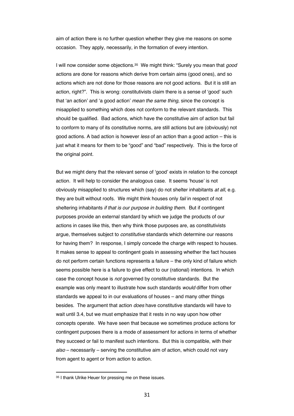aim of action there is no further question whether they give me reasons on some occasion. They apply, necessarily, in the formation of every intention.

I will now consider some objections.35 We might think: "Surely you mean that *good*  actions are done for reasons which derive from certain aims (good ones), and so actions which are not done for those reasons are not good actions. But it is still an action, right?". This is wrong: constitutivists claim there is a sense of 'good' such that 'an action' and 'a good action' *mean the same thing*, since the concept is misapplied to something which does not conform to the relevant standards. This should be qualified. Bad actions, which have the constitutive aim of action but fail to conform to many of its constitutive norms, are still actions but are (obviously) not good actions. A bad action is however *less* of an action than a good action – this is just what it means for them to be "good" and "bad" respectively. This is the force of the original point.

But we might deny that the relevant sense of 'good' exists in relation to the concept action. It will help to consider the analogous case. It seems 'house' is not obviously misapplied to structures which (say) do not shelter inhabitants *at all*, e.g. they are built without roofs. We might think houses only *fail* in respect of not sheltering inhabitants *if that is our purpose in building them.* But if contingent purposes provide an external standard by which we judge the products of our actions in cases like this, then why think those purposes are, as constitutivists argue, themselves subject to *constitutive* standards which determine our reasons for having them? In response, I simply concede the charge with respect to houses. It makes sense to appeal to contingent goals in assessing whether the fact houses do not perform certain functions represents a failure – the only kind of failure which seems possible here is a failure to give effect to our (rational) intentions. In which case the concept house is *not* governed by constitutive standards. But the example was only meant to illustrate how such standards *would* differ from other standards we appeal to in our evaluations of houses – and many other things besides. The argument that action *does* have constitutive standards will have to wait until 3.4, but we must emphasize that it rests in no way upon how other concepts operate. We have seen that because we sometimes produce actions for contingent purposes there is a mode of assessment for actions in terms of whether they succeed or fail to manifest such intentions. But this is compatible, with their *also* – necessarily – serving the constitutive aim of action, which could not vary from agent to agent or from action to action.

<sup>35</sup> I thank Ulrike Heuer for pressing me on these issues.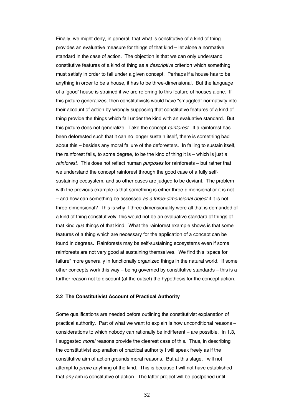Finally, we might deny, in general, that what is constitutive of a kind of thing provides an evaluative measure for things of that kind – let alone a normative standard in the case of action. The objection is that we can only understand constitutive features of a kind of thing as a *descriptive* criterion which something must satisfy in order to fall under a given concept. Perhaps if a house has to be anything in order to be a house, it has to be three-dimensional. But the language of a 'good' house is strained if we are referring to this feature of houses alone. If this picture generalizes, then constitutivists would have "smuggled" normativity into their account of action by wrongly supposing that constitutive features of a kind of thing provide the things which fall under the kind with an evaluative standard. But this picture does not generalize. Take the concept *rainforest*. If a rainforest has been deforested such that it can no longer sustain itself, there is something bad about this – besides any moral failure of the deforesters. In failing to sustain itself, the rainforest fails, to some degree, to be the kind of thing it is – which is just *a rainforest*. This does not reflect human *purposes* for rainforests – but rather that we understand the concept rainforest through the good case of a fully selfsustaining ecosystem, and so other cases are judged to be deviant. The problem with the previous example is that something is either three-dimensional or it is not – and how can something be assessed *as a three-dimensional object* if it is not three-dimensional? This is why if three-dimensionality were all that is demanded of a kind of thing constitutively, this would not be an evaluative standard of things of that kind *qua* things of that kind. What the rainforest example shows is that some features of a thing which are necessary for the application of a concept can be found in degrees. Rainforests may be self-sustaining ecosystems even if some rainforests are not very good at sustaining themselves. We find this "space for failure" more generally in functionally organized things in the natural world. If some other concepts work this way – being governed by constitutive standards – this is a further reason not to discount (at the outset) the hypothesis for the concept action.

#### **2.2 The Constitutivist Account of Practical Authority**

Some qualifications are needed before outlining the constitutivist explanation of practical authority. Part of what we want to explain is how unconditional reasons – considerations to which nobody can rationally be indifferent – are possible. In 1.3, I suggested *moral* reasons provide the clearest case of this. Thus, in describing the constitutivist explanation of practical authority I will speak freely as if the constitutive aim of action grounds moral reasons. But at this stage, I will not attempt to *prove* anything of the kind. This is because I will not have established that *any* aim is constitutive of action. The latter project will be postponed until

32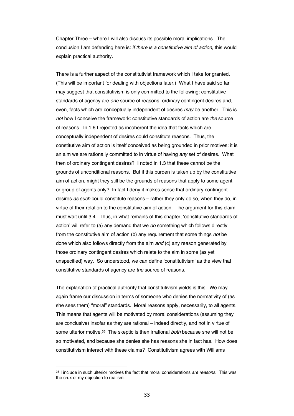Chapter Three – where I will also discuss its possible moral implications. The conclusion I am defending here is: *if there is a constitutive aim of action*, this would explain practical authority.

There is a further aspect of the constitutivist framework which I take for granted. (This will be important for dealing with objections later.) What I have said so far may suggest that constitutivism is only committed to the following: constitutive standards of agency are *one* source of reasons; ordinary contingent desires and, even, facts which are conceptually independent of desires *may* be another. This is *not* how I conceive the framework: constitutive standards of action are *the* source of reasons. In 1.6 I rejected as incoherent the idea that facts which are conceptually independent of desires could constitute reasons. Thus, the constitutive aim of action is itself conceived as being grounded in prior motives: it is an aim we are rationally committed to in virtue of having *any* set of desires. What then of ordinary contingent desires? I noted in 1.3 that these cannot be the grounds of unconditional reasons. But if this burden is taken up by the constitutive aim of action, might they still be the grounds of reasons that apply to some agent or group of agents only? In fact I deny it makes sense that ordinary contingent desires *as such* could constitute reasons – rather they only do so, when they do, in virtue of their relation to the constitutive aim of action. The argument for this claim must wait until 3.4. Thus, in what remains of this chapter, 'constitutive standards of action' will refer to (a) any demand that we *do* something which follows directly from the constitutive aim of action (b) any requirement that some things *not* be done which also follows directly from the aim *and* (c) any reason generated by those ordinary contingent desires which relate to the aim in some (as yet unspecified) way. So understood, we can define 'constitutivism' as the view that constitutive standards of agency are *the* source of reasons.

The explanation of practical authority that constitutivism yields is this. We may again frame our discussion in terms of someone who denies the normativity of (as she sees them) "moral" standards. Moral reasons apply, necessarily, to all agents. This means that agents will be motivated by moral considerations (assuming they are conclusive) insofar as they are rational – indeed directly, and not in virtue of some ulterior motive.36 The skeptic is then irrational *both* because she will not be so motivated, and because she denies she has reasons she in fact has. How does constitutivism interact with these claims? Constitutivism agrees with Williams

<sup>36</sup> I include in such ulterior motives the fact that moral considerations *are reasons*. This was the crux of my objection to realism.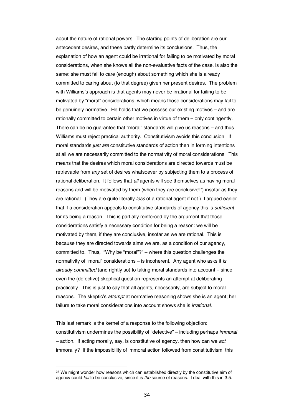about the nature of rational powers. The starting points of deliberation are our antecedent desires, and these partly determine its conclusions. Thus, the explanation of how an agent could be irrational for failing to be motivated by moral considerations, when she knows all the non-evaluative facts of the case, is also the same: she must fail to care (enough) about something which she is already committed to caring about (to that degree) given her present desires. The problem with Williams's approach is that agents may never be irrational for failing to be motivated by "moral" considerations, which means those considerations may fail to be genuinely normative. He holds that we possess our existing motives – and are rationally committed to certain other motives in virtue of them – only contingently. There can be no guarantee that "moral" standards will give us reasons – and thus Williams must reject practical authority. Constitutivism avoids this conclusion. If moral standards *just are* constitutive standards of action then in forming intentions at all we are necessarily committed to the normativity of moral considerations. This means that the desires which moral considerations are directed towards must be retrievable from *any* set of desires whatsoever by subjecting them to a process of rational deliberation. It follows that *all* agents will see themselves as having moral reasons and will be motivated by them (when they are conclusive $37$ ) insofar as they are rational. (They are quite literally *less* of a rational agent if not.) I argued earlier that if a consideration appeals to constitutive standards of agency this is *sufficient*  for its being a reason. This is partially reinforced by the argument that those considerations satisfy a necessary condition for being a reason: we will be motivated by them, if they are conclusive, insofar as we are rational. This is because they are directed towards aims we are, as a condition of our agency, committed to. Thus, "Why be "moral"?" – where this question challenges the normativity of "moral" considerations – is incoherent. Any agent who asks it *is already committed* (and rightly so) to taking moral standards into account – since even the (defective) skeptical question represents an attempt at deliberating practically. This is just to say that all agents, necessarily, are subject to moral reasons. The skeptic's *attempt* at normative reasoning shows she is an agent; her failure to take moral considerations into account shows she is *irrational*.

This last remark is the kernel of a response to the following objection: constitutivism undermines the possibility of "defective" – including perhaps *immoral*  – action. If acting morally, say, is constitutive of agency, then how can we *act*  immorally? If the impossibility of immoral action followed from constitutivism, this

<sup>37</sup> We might wonder how reasons which can established directly by the constitutive aim of agency could *fail* to be conclusive, since it is *the* source of reasons. I deal with this in 3.5.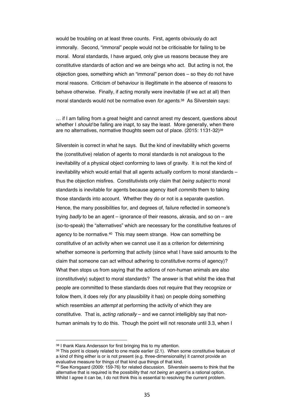would be troubling on at least three counts. First, agents obviously do act immorally. Second, "immoral" people would not be criticisable for failing to be moral. Moral standards, I have argued, only give us reasons because they are constitutive standards of action and we are beings who act. But acting is not, the objection goes, something which an "immoral" person does – so they do not have moral reasons. Criticism of behaviour is illegitimate in the absence of reasons to behave otherwise. Finally, if acting morally were inevitable (if we act at all) then moral standards would not be normative even *for agents*.38 As Silverstein says:

… if I am falling from a great height and cannot arrest my descent, questions about whether I *should* be falling are inapt, to say the least. More generally, when there are no alternatives, normative thoughts seem out of place. (2015: 1131-32)39

Silverstein is correct in what he says. But the kind of inevitability which governs the (constitutive) relation of agents to moral standards is not analogous to the inevitability of a physical object conforming to laws of gravity. It is not the kind of inevitability which would entail that all agents actually conform to moral standards – thus the objection misfires. Constitutivists only claim that *being subject* to moral standards is inevitable for agents because agency itself *commits* them to taking those standards into account. Whether they do or not is a separate question. Hence, the many possibilities for, and degrees of, failure reflected in someone's trying *badly* to be an agent – ignorance of their reasons, akrasia, and so on – are (so-to-speak) the "alternatives" which are necessary for the constitutive features of agency to be normative.40 This may seem strange. How can something be constitutive of an activity when we cannot use it as a criterion for determining whether someone is performing that activity (since what I have said amounts to the claim that someone can act without adhering to constitutive norms of agency)? What then stops us from saying that the actions of non-human animals are also (constitutively) subject to moral standards? The answer is that whilst the idea that people are committed to these standards does not require that they recognize or follow them, it does rely (for any plausibility it has) on people doing something which resembles *an attempt* at performing the activity of which they are constitutive. That is, *acting rationally* – and we cannot intelligibly say that nonhuman animals try to do this. Though the point will not resonate until 3.3, when I

<sup>38</sup> I thank Klara Andersson for first bringing this to my attention.

 $39$  This point is closely related to one made earlier  $(2.1)$ . When some constitutive feature of a kind of thing either is or is not present (e.g. three-dimensionality) it cannot provide an evaluative measure for things of that kind *qua* things of that kind.

<sup>40</sup> See Korsgaard (2009: 159-76) for related discussion. Silverstein seems to think that the alternative that is required is the possibility that *not being an agent* is a rational option. Whilst I agree it can be, I do not think this is essential to resolving the current problem.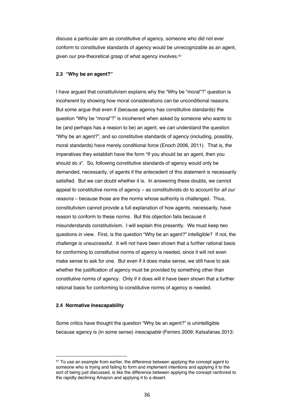discuss a particular aim as constitutive of agency, someone who did not ever conform to constitutive standards of agency would be unrecognizable as an agent, given our pre-theoretical grasp of what agency involves.41

#### **2.3 "Why be an agent?"**

I have argued that constitutivism explains why the "Why be "moral"?" question is incoherent by showing how moral considerations can be unconditional reasons. But some argue that even if (because agency has constitutive standards) the question "Why be "moral"?" is incoherent when asked by someone who wants to be (and perhaps has a reason to be) an agent, we *can* understand the question "Why be an agent?", and so constitutive standards of agency (including, possibly, moral standards) have merely conditional force (Enoch 2006, 2011). That is, the imperatives they establish have the form "If you should be an agent, then you should do *x*". So, following constitutive standards of agency would only be demanded, necessarily, of agents if the antecedent of this statement is necessarily satisfied. But we can doubt whether it is. In answering these doubts, we cannot appeal to constitutive norms of agency – as constitutivists do to account for *all our reasons* – because those are the norms whose authority is challenged. Thus, constitutivism cannot provide a full explanation of how agents, necessarily, have reason to conform to these norms. But this objection fails because it misunderstands constitutivism. I will explain this presently. We must keep two questions in view. First, is the question "Why be an agent?" intelligible? If not, the challenge is unsuccessful. It will not have been shown that a further rational basis for conforming to constitutive norms of agency is needed, since it will not even make sense to ask for one. But even if it does make sense, we still have to ask whether the justification of agency must be provided by something other than constitutive norms of agency. Only if it does will it have been shown that a further rational basis for conforming to constitutive norms of agency is needed.

#### **2.4 Normative Inescapability**

Some critics have thought the question "Why be an agent?" is unintelligible because agency is (in some sense) *inescapable* (Ferrero 2009; Katsafanas 2013:

<sup>&</sup>lt;sup>41</sup> To use an example from earlier, the difference between applying the concept agent to someone who is trying and failing to form and implement intentions and applying it to the sort of being just discussed, is like the difference between applying the concept rainforest to the rapidly declining Amazon and applying it to a desert.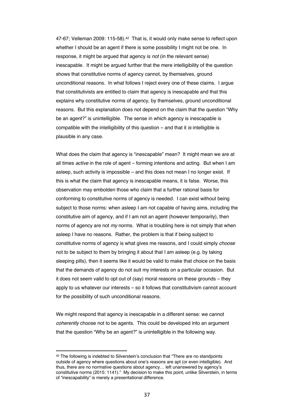47-67; Velleman 2009: 115-58).<sup>42</sup> That is, it would only make sense to reflect upon whether I should be an agent if there is some possibility I might not be one. In response, it might be argued that agency is *not* (in the relevant sense) inescapable. It might be argued further that the mere intelligibility of the question shows that constitutive norms of agency cannot, by themselves, ground unconditional reasons. In what follows I reject every one of these claims. I argue that constitutivists are entitled to claim that agency is inescapable and that this explains why constitutive norms of agency, by themselves, ground unconditional reasons. But this explanation does not depend on the claim that the question "Why be an agent?" is unintelligible. The sense in which agency is inescapable is compatible with the intelligibility of this question – and that it *is* intelligible is plausible in any case.

What does the claim that agency is "inescapable" mean? It might mean we are at all times *active* in the role of agent – forming intentions and acting. But when I am asleep, such activity is impossible – and this does not mean I no longer exist. If this is what the claim that agency is inescapable means, it is false. Worse, this observation may embolden those who claim that a further rational basis for conforming to constitutive norms of agency is needed. I can exist without being subject to those norms: when asleep I am not capable of having aims, including the constitutive aim of agency, and if I am not an agent (however temporarily), then norms of agency are not *my* norms. What is troubling here is not simply that when asleep I have no reasons. Rather, the problem is that if being subject to constitutive norms of agency is what gives me reasons, and I could simply *choose* not to be subject to them by bringing it about that I am asleep (e.g. by taking sleeping pills), then it seems like it would be valid to make that choice on the basis that the demands of agency do not suit my interests on a particular occasion. But it does not seem valid to opt out of (say) moral reasons on these grounds – they apply to us whatever our interests – so it follows that constitutivism cannot account for the possibility of such unconditional reasons.

We might respond that agency is inescapable in a different sense: we cannot *coherently* choose not to be agents. This could be developed into an argument that the question "Why be an agent?" is unintelligible in the following way.

<sup>42</sup> The following is indebted to Silverstein's conclusion that "There are no standpoints outside of agency where questions about one's reasons are apt (or even intelligible). And thus, there are no normative questions about agency… left unanswered by agency's constitutive norms (2015: 1141)." My decision to make this point, unlike Silverstein, in terms of "inescapability" is merely a presentational difference.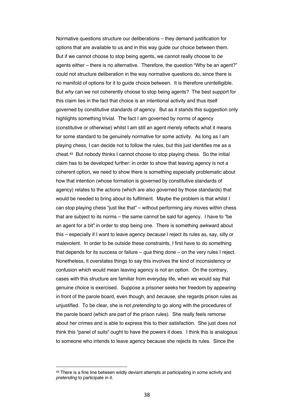Normative questions structure our deliberations – they demand justification for options that are available to us and in this way guide our choice between them. But if we cannot choose to stop being agents, we cannot really choose to *be*  agents either – there is no alternative. Therefore, the question "Why be an agent?" could not structure deliberation in the way normative questions do, since there is no manifold of options for it to guide choice between. It is therefore unintelligible. But *why* can we not coherently choose to stop being agents? The best support for this claim lies in the fact that choice is an intentional activity and thus itself governed by constitutive standards of agency. But as it stands this suggestion only highlights something trivial. The fact I am governed by norms of agency (constitutive or otherwise) whilst I am still an agent merely reflects what it means for some standard to be genuinely normative for some activity. As long as I am playing chess, I can decide not to follow the rules, but this just identifies me as a cheat.43 But nobody thinks I cannot choose to stop playing chess. So the initial claim has to be developed further: in order to show that leaving agency is not a coherent option, we need to show there is something especially problematic about how that intention (whose formation is governed by constitutive standards of agency) relates to the actions (which are also governed by those standards) that would be needed to bring about its fulfilment. Maybe the problem is that whilst I can stop playing chess "just like that" – without performing any moves within chess that are subject to its norms – the same cannot be said for agency. I have to "be an agent for a bit" in order to stop being one. There is something awkward about this – especially if I want to leave agency *because* I reject its rules as, say, silly or malevolent. In order to be outside these constraints, I first have to do something that depends for its success or failure – *qua* thing done – on the very rules I reject. Nonetheless, it overstates things to say this involves the kind of inconsistency or confusion which would mean leaving agency is not an option. On the contrary, cases with this structure are familiar from everyday life, when we would say that genuine choice is exercised. Suppose a prisoner seeks her freedom by appearing in front of the parole board, even though, and *because*, she regards prison rules as unjustified. To be clear, she is not *pretending* to go along with the procedures of the parole board (which are part of the prison rules). She really feels remorse about her crimes and is able to express this to their satisfaction. She just does not think this "panel of suits" ought to have the powers it does. I think this is analogous to someone who intends to leave agency because she rejects its rules. Since the

<sup>&</sup>lt;sup>43</sup> There is a fine line between wildly deviant attempts at participating in some activity and *pretending* to participate in it.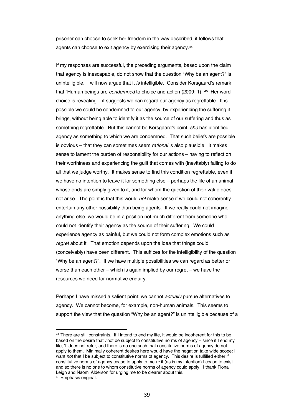prisoner can choose to seek her freedom in the way described, it follows that agents can choose to exit agency by exercising their agency.<sup>44</sup>

If my responses are successful, the preceding arguments, based upon the claim that agency is inescapable, do not show that the question "Why be an agent?" is unintelligible. I will now argue that it *is* intelligible. Consider Korsgaard's remark that "Human beings are *condemned* to choice and action (2009: 1)."45 Her word choice is revealing – it suggests we can regard our agency as regrettable. It is possible we could be condemned to our agency, by experiencing the suffering it brings, without being able to identify it as the source of our suffering and thus as something regrettable. But this cannot be Korsgaard's point: *she* has identified agency as something to which we are condemned. That such beliefs are possible is obvious – that they can sometimes seem *rational* is also plausible. It makes sense to lament the burden of responsibility for our actions – having to reflect on their worthiness and experiencing the guilt that comes with (inevitably) failing to do all that we judge worthy. It makes sense to find this condition regrettable, even if we have no intention to leave it for something else – perhaps the life of an animal whose ends are simply given to it, and for whom the question of their value does not arise. The point is that this would *not* make sense if we could not coherently entertain any other possibility than being agents. If we really could not imagine anything else, we would be in a position not much different from someone who could not identify their agency as the source of their suffering. We could experience agency as painful, but we could not form complex emotions such as *regret* about it. That emotion depends upon the idea that things could (conceivably) have been different. This suffices for the intelligibility of the question "Why be an agent?". If we have multiple possibilities we can regard as better or worse than each other – which is again implied by our regret – we have the resources we need for normative enquiry.

Perhaps I have missed a salient point: we cannot *actually* pursue alternatives to agency. We cannot become, for example, non-human animals. This seems to support the view that the question "Why be an agent?" is unintelligible because of a

<sup>44</sup> There are still constraints. If I intend to end my life, it would be incoherent for this to be based on the desire that *I* not be subject to constitutive norms of agency – since if I end my life, 'I' does not refer, and there is no one such that constitutive norms of agency do not apply to them. Minimally coherent desires here would have the negation take wide scope: I want *not* that I be subject to constitutive norms of agency. This desire is fulfilled either if constitutive norms of agency cease to apply to me *or* if (as is my intention) I cease to exist and so there is no one to whom constitutive norms of agency could apply. I thank Fiona Leigh and Naomi Alderson for urging me to be clearer about this. <sup>45</sup> Emphasis original.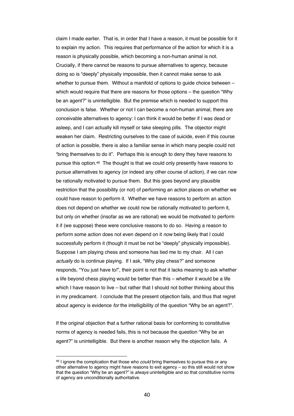claim I made earlier. That is, in order that I have a reason, it must be possible for it to explain my action. This requires that performance of the action for which it is a reason is physically possible, which becoming a non-human animal is not. Crucially, if there cannot be reasons to pursue alternatives to agency, because doing so is "deeply" physically impossible, then it cannot make sense to ask whether to pursue them. Without a manifold of options to guide choice between which would require that there are reasons for those options – the question "Why be an agent?" is unintelligible. But the premise which is needed to support this conclusion is false. Whether or not I can become a non-human animal, there are conceivable alternatives to agency: I can think it would be better if I was dead or asleep, and I can actually kill myself or take sleeping pills. The objector might weaken her claim. Restricting ourselves to the case of suicide, even if this course of action is possible, there is also a familiar sense in which many people could not "bring themselves to do it". Perhaps this is enough to deny they have reasons to pursue this option.46 The thought is that we could only presently have reasons to pursue alternatives to agency (or indeed any other course of action), if we can *now*  be rationally motivated to pursue them. But this goes beyond any plausible restriction that the possibility (or not) of performing an action places on whether we could have reason to perform it. Whether we have reasons to perform an action does not depend on whether we could now be rationally motivated to perform it, but only on whether (insofar as we are rational) we would be motivated to perform it if (we suppose) these were conclusive reasons to do so. Having a reason to perform some action does not even depend on it *now* being likely that I could successfully perform it (though it must be not be "deeply" physically impossible). Suppose I am playing chess and someone has tied me to my chair. All I can *actually* do is continue playing. If I ask, "Why play chess?" and someone responds, "You just have to!", their point is not that it lacks meaning to ask whether a life beyond chess playing would be better than this – whether it would be a life which I have reason to live – but rather that I should not bother thinking about this in my predicament. I conclude that the present objection fails, and thus that regret about agency is evidence *for* the intelligibility of the question "Why be an agent?".

If the original objection that a further rational basis for conforming to constitutive norms of agency is needed fails, this is not because the question "Why be an agent?" is unintelligible. But there is another reason why the objection fails. A

<sup>46</sup> I ignore the complication that those who *could* bring themselves to pursue this or any other alternative to agency might have reasons to exit agency – so this still would not show that the question "Why be an agent?" is *always* unintelligible and so that constitutive norms of agency are unconditionally authoritative.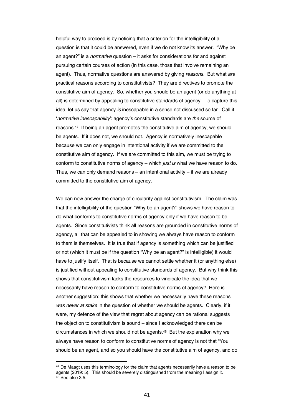helpful way to proceed is by noticing that a criterion for the intelligibility of a question is that it could be answered, even if we do not know its answer. "Why be an agent?" is a *normative* question – it asks for considerations for and against pursuing certain courses of action (in this case, those that involve remaining an agent). Thus, normative questions are answered by giving *reasons.* But what *are* practical reasons according to constitutivists? They are directives to promote the constitutive aim of agency. So, whether you should be an agent (or do anything at all) is determined by appealing to constitutive standards of agency. To capture this idea, let us say that agency *is* inescapable in a sense not discussed so far. Call it '*normative inescapability*': agency's constitutive standards are *the* source of reasons.47 If being an agent promotes the constitutive aim of agency, we should be agents. If it does not, we should not. Agency is normatively inescapable because we can only engage in intentional activity if we are committed to the constitutive aim of agency. If we are committed to this aim, we must be trying to conform to constitutive norms of agency – which *just is* what we have reason to do. Thus, we can only demand reasons – an intentional activity – if we are already committed to the constitutive aim of agency.

We can now answer the charge of circularity against constitutivism. The claim was that the intelligibility of the question "Why be an agent?" shows we have reason to do what conforms to constitutive norms of agency only if we have reason to be agents. Since constitutivists think all reasons are grounded in constitutive norms of agency, all that can be appealed to in showing we always have reason to conform to them is themselves. It is true that if agency is something which can be justified or not (which it must be if the question "Why be an agent?" is intelligible) it would have to justify itself. That is because we cannot settle whether it (or anything else) is justified without appealing to constitutive standards of agency. But why think this shows that constitutivism lacks the resources to vindicate the idea that we necessarily have reason to conform to constitutive norms of agency? Here is another suggestion: this shows that whether we necessarily have these reasons *was never at stake* in the question of whether we should be agents. Clearly, if it were, my defence of the view that regret about agency can be rational suggests the objection to constitutivism is sound – since I acknowledged there can be circumstances in which we should not be agents.48 But the explanation why we always have reason to conform to constitutive norms of agency is not that "You should be an agent, and so you should have the constitutive aim of agency, and do

<sup>&</sup>lt;sup>47</sup> De Maagt uses this terminology for the claim that agents necessarily have a reason to be agents (2019: 5). This should be severely distinguished from the meaning I assign it. <sup>48</sup> See also 3.5.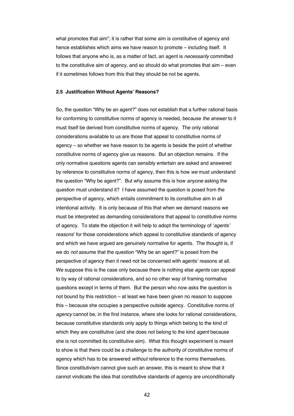what promotes that aim"; it is rather that some aim is constitutive of agency and hence establishes which aims we have reason to promote – including itself. It follows that anyone who is, as a matter of fact, an agent is *necessarily* committed to the constitutive aim of agency, and so should do what promotes that aim – even if it sometimes follows from this that they should be not be agents.

#### **2.5 Justification Without Agents' Reasons?**

So, the question "Why be an agent?" does not establish that a further rational basis for conforming to constitutive norms of agency is needed, because *the answer* to it must itself be derived from constitutive norms of agency. The only rational considerations available to us are those that appeal to constitutive norms of agency – so whether we have reason to be agents is beside the point of whether constitutive norms of agency give us reasons. But an objection remains. If the only normative questions agents can sensibly entertain are asked and answered by reference to constitutive norms of agency, then this is how *we* must understand the question "Why be agent?". But why assume this is how *anyone* asking the question must understand it? I have assumed the question is posed from the perspective of agency, which entails commitment to its constitutive aim in all intentional activity. It is only because of this that when we demand reasons we must be interpreted as demanding considerations that appeal to constitutive norms of agency. To state the objection it will help to adopt the terminology of '*agents' reasons*' for those considerations which appeal to constitutive standards of agency and which we have argued are genuinely normative for agents. The thought is, if we do *not* assume that the question "Why be an agent?" is posed from the perspective of agency then it need not be concerned with agents' reasons at all. We suppose this is the case only because there is nothing else *agents* can appeal to by way of rational considerations, and so no other way of framing normative questions except in terms of them. But the person who now asks the question is not bound by this restriction – at least we have been given no reason to suppose this – because she occupies a perspective outside agency. Constitutive norms of *agency* cannot be, in the first instance, where she looks for rational considerations, because constitutive standards only apply to things which belong to the kind of which they are constitutive (and she does not belong to the kind *agent* because she is not committed its constitutive aim). What this thought experiment is meant to show is that there could be a challenge to the authority of constitutive norms of agency which has to be answered *without* reference to the norms themselves. Since constitutivism cannot give such an answer, this is meant to show that it cannot vindicate the idea that constitutive standards of agency are unconditionally

42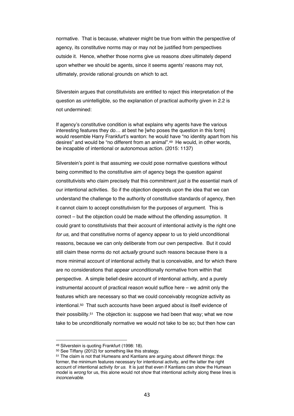normative. That is because, whatever might be true from within the perspective of agency, its constitutive norms may or may not be justified from perspectives outside it. Hence, whether those norms give us reasons *does* ultimately depend upon whether we should be agents, since it seems agents' reasons may not, ultimately, provide rational grounds on which to act.

Silverstein argues that constitutivists are entitled to reject this interpretation of the question as unintelligible, so the explanation of practical authority given in 2.2 is not undermined:

If agency's constitutive condition is what explains why agents have the various interesting features they do… at best he [who poses the question in this form] would resemble Harry Frankfurt's wanton: he would have "no identity apart from his desires" and would be "no different from an animal".49 He would, in other words, be incapable of intentional or autonomous action. (2015: 1137)

Silverstein's point is that assuming *we* could pose normative questions without being committed to the constitutive aim of agency begs the question against constitutivists who claim precisely that this commitment *just is* the essential mark of our intentional activities. So if the objection depends upon the idea that we can understand the challenge to the authority of constitutive standards of agency, then it cannot claim to accept constitutivism for the purposes of argument. This is correct – but the objection could be made without the offending assumption. It could grant to constitutivists that their account of intentional activity is the right one *for us,* and that constitutive norms of agency appear to us to yield unconditional reasons, because we can only deliberate from our own perspective. But it could still claim these norms do not *actually* ground such reasons because there is a more minimal account of intentional activity that is conceivable, and for which there are no considerations that appear unconditionally normative from within that perspective. A simple belief-desire account of intentional activity, and a purely instrumental account of practical reason would suffice here – we admit only the features which are necessary so that we could conceivably recognize activity as intentional.50 That such accounts have been argued about is itself evidence of their possibility.51 The objection is: suppose we had been that way; what we now take to be unconditionally normative we would not take to be so; but then how can

<sup>49</sup> Silverstein is quoting Frankfurt (1998: 18).

<sup>50</sup> See Tiffany (2012) for something like this strategy.

<sup>51</sup> The claim is not that Humeans and Kantians are arguing about different things: the former, the minimum features necessary for intentional activity, and the latter the right account of intentional activity *for us*. It is just that even if Kantians can show the Humean model is *wrong* for us, this alone would not show that intentional activity along these lines is *inconceivable*.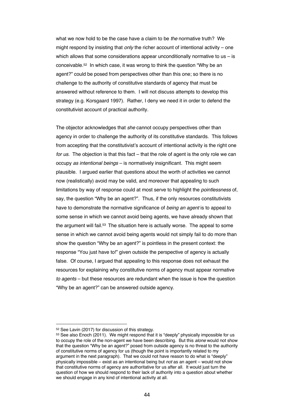what we now hold to be the case have a claim to be *the* normative truth? We might respond by insisting that *only* the richer account of intentional activity – one which allows that some considerations appear unconditionally normative to us  $-$  is conceivable.52 In which case, it was wrong to think the question "Why be an agent?" could be posed from perspectives other than this one; so there is no challenge to the authority of constitutive standards of agency that must be answered without reference to them. I will not discuss attempts to develop this strategy (e.g. Korsgaard 1997). Rather, I deny we need it in order to defend the constitutivist account of practical authority.

The objector acknowledges that *she* cannot occupy perspectives other than agency in order to challenge the authority of its constitutive standards. This follows from accepting that the constitutivist's account of intentional activity is the right one *for us*. The objection is that this fact – that the role of agent is the only role we can occupy *as intentional beings* – is normatively insignificant. This might seem plausible. I argued earlier that questions about the worth of activities we cannot now (realistically) avoid may be valid, and moreover that appealing to such limitations by way of response could at most serve to highlight the *pointlessness* of, say, the question "Why be an agent?". Thus, if the only resources constitutivists have to demonstrate the normative significance of *being an agent* is to appeal to some sense in which we cannot avoid being agents, we have already shown that the argument will fail.<sup>53</sup> The situation here is actually worse. The appeal to some sense in which we cannot avoid being agents would not simply fail to do more than show the question "Why be an agent?" is pointless in the present context: the response "You just have to!" given outside the perspective of agency is actually false. Of course, I argued that appealing to this response does not exhaust the resources for explaining why constitutive norms of agency must appear normative *to agents* – but these resources are redundant when the issue is how the question "Why be an agent?" can be answered outside agency.

 $52$  See Lavin (2017) for discussion of this strategy.<br> $53$  See also Enoch (2011). We might respond that it is "deeply" physically impossible for us to occupy the role of the non-agent we have been describing. But this *alone* would not show that the question "Why be an agent?" posed from outside agency is no threat to the authority of constitutive norms of agency for us (though the point is importantly related to my argument in the next paragraph). That we could not have reason to do what is "deeply" physically impossible – exist as an intentional being but *not* as an agent – would not show that constitutive norms of agency are authoritative for us after all. It would just turn the question of how we should respond to their lack of authority into a question about whether we should engage in any kind of intentional activity at all.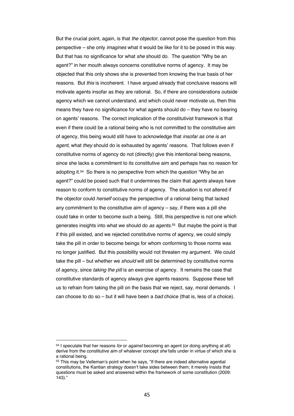But the crucial point, again, is that *the objector*, cannot pose the question from this perspective – she only *imagines* what it would be like for it to be posed in this way. But that has no significance for what *she* should do. The question "Why be an agent?" in her mouth always concerns constitutive norms of agency. It may be objected that this only shows she is prevented from knowing the true basis of her reasons. But *this* is incoherent. I have argued already that conclusive reasons will motivate agents insofar as they are rational. So, if there are considerations outside agency which we cannot understand, and which could never motivate us, then this means they have no significance for what agents should do – they have no bearing on agents' reasons. The correct implication of the constitutivist framework is that even if there could be a rational being who is not committed to the constitutive aim of agency, this being would still have to acknowledge that *insofar as one is an agent*, what *they* should do is exhausted by agents' reasons. That follows even if constitutive norms of agency do not (directly) give this intentional being reasons, since she lacks a commitment to its constitutive aim and perhaps has no reason for adopting it.54 So there is no perspective from which the question "Why be an agent?" could be posed such that it undermines the claim that *agents* always have reason to conform to constitutive norms of agency. The situation is not altered if the objector could *herself* occupy the perspective of a rational being that lacked any commitment to the constitutive aim of agency – say, if there was a pill she could take in order to become such a being. Still, this perspective is not one which generates insights into what we should do *as agents.*55 But maybe the point is that if this pill existed, and we rejected constitutive norms of agency, we could simply take the pill in order to become beings for whom conforming to those norms was no longer justified. But this possibility would not threaten my argument. We could take the pill – but whether we *should* will still be determined by constitutive norms of agency, since *taking the pill* is an exercise of agency. It remains the case that constitutive standards of agency always give agents reasons. Suppose these tell us to refrain from taking the pill on the basis that we reject, say, moral demands. I can choose to do so – but it will have been a *bad* choice (that is, less of a choice).

<sup>54</sup> I speculate that her reasons *for* or *against* becoming an agent (or doing anything at all) derive from the constitutive aim of whatever concept *she* falls under in virtue of which she is a rational being.

<sup>55</sup> This may be Velleman's point when he says, "If there are indeed alternative agential constitutions, the Kantian strategy doesn't take sides between them; it merely insists that questions must be asked and answered within the framework of some constitution (2009: 143)."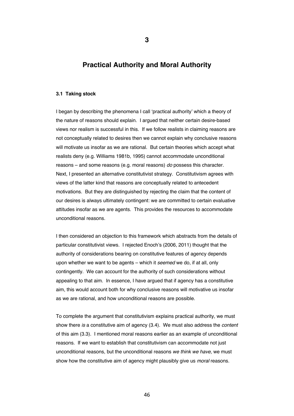# **Practical Authority and Moral Authority**

#### **3.1 Taking stock**

I began by describing the phenomena I call 'practical authority' which a theory of the nature of reasons should explain. I argued that neither certain desire-based views nor realism is successful in this. If we follow realists in claiming reasons are not conceptually related to desires then we cannot explain why conclusive reasons will motivate us insofar as we are rational. But certain theories which accept what realists deny (e.g. Williams 1981b, 1995) cannot accommodate unconditional reasons – and some reasons (e.g. moral reasons) *do* possess this character. Next, I presented an alternative constitutivist strategy. Constitutivism agrees with views of the latter kind that reasons are conceptually related to antecedent motivations. But they are distinguished by rejecting the claim that the content of our desires is always ultimately contingent: we are committed to certain evaluative attitudes insofar as we are agents. This provides the resources to accommodate unconditional reasons.

I then considered an objection to this framework which abstracts from the details of particular constitutivist views. I rejected Enoch's (2006, 2011) thought that the authority of considerations bearing on constitutive features of agency depends upon whether we want to be agents – which it *seemed* we do, if at all, only contingently. We can account for the authority of such considerations without appealing to that aim. In essence, I have argued that if agency has a constitutive aim, this would account both for why conclusive reasons will motivative us insofar as we are rational, and how unconditional reasons are possible.

To complete the argument that constitutivism explains practical authority, we must show there *is* a constitutive aim of agency (3.4). We must also address the *content*  of this aim (3.3). I mentioned moral reasons earlier as an example of unconditional reasons. If we want to establish that constitutivism can accommodate not just unconditional reasons, but the unconditional reasons *we think we have*, we must show how the constitutive aim of agency might plausibly give us *moral* reasons.

**3**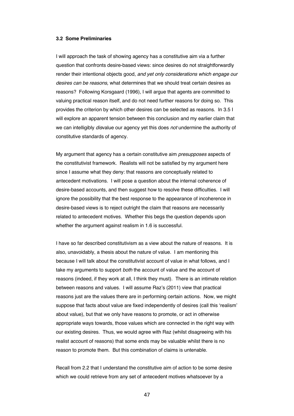#### **3.2 Some Preliminaries**

I will approach the task of showing agency has a constitutive aim via a further question that confronts desire-based views: since desires do not straightforwardly render their intentional objects good, *and yet only considerations which engage our desires can be reasons,* what determines that we should treat certain desires as reasons? Following Korsgaard (1996), I will argue that agents are committed to valuing practical reason itself, and do not need further reasons for doing so. This provides the criterion by which other desires can be selected as reasons. In 3.5 I will explore an apparent tension between this conclusion and my earlier claim that we can intelligibly *dis*value our agency yet this does *not* undermine the authority of constitutive standards of agency.

My argument that agency has a certain constitutive aim *presupposes* aspects of the constitutivist framework. Realists will not be satisfied by my argument here since I assume what they deny: that reasons are conceptually related to antecedent motivations. I will pose a question about the internal coherence of desire-based accounts, and then suggest how to resolve these difficulties. I will ignore the possibility that the best response to the appearance of incoherence in desire-based views is to reject outright the claim that reasons are necessarily related to antecedent motives. Whether this begs the question depends upon whether the argument against realism in 1.6 is successful.

I have so far described constitutivism as a view about the nature of reasons. It is also, unavoidably, a thesis about the nature of value. I am mentioning this because I will talk about the constitutivist account of value in what follows, and I take my arguments to support *both* the account of value and the account of reasons (indeed, if they work at all, I think they must). There is an intimate relation between reasons and values. I will assume Raz's (2011) view that practical reasons just are the values there are in performing certain actions. Now, we might suppose that facts about value are fixed independently of desires (call this 'realism' about value), but that we only have reasons to promote, or act in otherwise appropriate ways towards, those values which are connected in the right way with our existing desires. Thus, we would agree with Raz (whilst disagreeing with his realist account of reasons) that some ends may be valuable whilst there is no reason to promote them. But this combination of claims is untenable.

Recall from 2.2 that I understand the constitutive aim of action to be some desire which we could retrieve from any set of antecedent motives whatsoever by a

47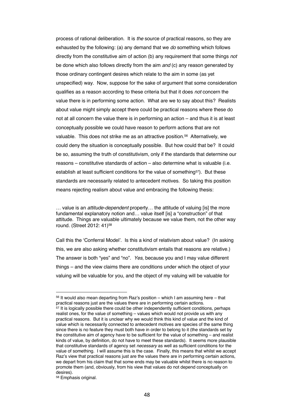process of rational deliberation. It is *the* source of practical reasons, so they are exhausted by the following: (a) any demand that we *do* something which follows directly from the constitutive aim of action (b) any requirement that some things *not*  be done which also follows directly from the aim *and* (c) any reason generated by those ordinary contingent desires which relate to the aim in some (as yet unspecified) way. Now, suppose for the sake of argument that some consideration qualifies as a reason according to these criteria but that it does *not* concern the value there is in performing some action. What are we to say about this? Realists about value might simply accept there could be practical reasons where these do not at all concern the value there is in performing an action – and thus it is at least conceptually possible we could have reason to perform actions that are not valuable. This does not strike me as an attractive position.<sup>56</sup> Alternatively, we could deny the situation is conceptually possible. But how could that be? It could be so, assuming the truth of constitutivism, only if the standards that determine our reasons – constitutive standards of action – also determine what is valuable (i.e. establish at least sufficient conditions for the value of something<sup>57</sup>). But these standards are necessarily related to antecedent motives. So taking this position means rejecting realism about value and embracing the following thesis:

… value is an *attitude-dependent* property… the attitude of valuing [is] the more fundamental explanatory notion and… value itself [is] a "construction" of that attitude. Things are valuable ultimately because we value them, not the other way round. (Street 2012: 41)58

Call this the 'Conferral Model'. Is this a kind of relativism about value? (In asking this, we are also asking whether constitutivism entails that reasons are relative.) The answer is both "yes" and "no". *Yes*, because you and I may value different things – and the view claims there are conditions under which the object of your valuing will be valuable for you, and the object of my valuing will be valuable for

<sup>58</sup> Emphasis original.

 $56$  It would also mean departing from Raz's position – which I am assuming here – that practical reasons just are the values there are in performing certain actions. <sup>57</sup> It is logically possible there could be other independently sufficient conditions, perhaps realist ones, for the value of something – values which would not provide us with any practical reasons. But it is unclear why we would think this kind of value and the kind of value which is necessarily connected to antecedent motives are species of the same thing since there is no feature they must both have in order to belong to it (the standards set by the constitutive aim of agency have to be sufficient for the value of something – and realist kinds of value, by definition, do not have to meet these standards). It seems more plausible that constitutive standards of agency set *necessary* as well as sufficient conditions for the value of something. I will assume this is the case. Finally, this means that whilst we accept Raz's view that practical reasons just are the values there are in performing certain actions, we depart from his claim that that some ends may be valuable whilst there is no reason to promote them (and, obviously, from his view that values do not depend conceptually on desires).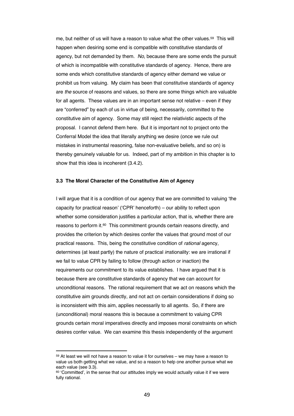me, but neither of us will have a reason to value what the other values.59 This will happen when desiring some end is compatible with constitutive standards of agency, but not demanded by them. *No*, because there are some ends the pursuit of which is incompatible with constitutive standards of agency. Hence, there are some ends which constitutive standards of agency either demand we value or prohibit us from valuing. My claim has been that constitutive standards of agency are *the* source of reasons and values, so there are some things which are valuable for all agents. These values are in an important sense not relative – even if they are "conferred" by each of us in virtue of being, necessarily, committed to the constitutive aim of agency. Some may still reject the relativistic aspects of the proposal. I cannot defend them here. But it is important not to project onto the Conferral Model the idea that literally anything we desire (once we rule out mistakes in instrumental reasoning, false non-evaluative beliefs, and so on) is thereby genuinely valuable for us. Indeed, part of my ambition in this chapter is to show that this idea is incoherent (3.4.2).

#### **3.3 The Moral Character of the Constitutive Aim of Agency**

I will argue that it is a condition of our agency that we are committed to valuing 'the capacity for practical reason' ('CPR' henceforth) – our ability to reflect upon whether some consideration justifies a particular action, that is, whether there are reasons to perform it.60 This commitment grounds certain reasons directly, and provides the criterion by which desires confer the values that ground most of our practical reasons. This, being the constitutive condition of *rational* agency, determines (at least partly) the nature of practical *ir*rationality: we are irrational if we fail to value CPR by failing to follow (through action or inaction) the requirements our commitment to its value establishes. I have argued that it is because there are constitutive standards of agency that we can account for unconditional reasons. The rational requirement that we act on reasons which the constitutive aim grounds directly, and not act on certain considerations if doing so is inconsistent with this aim, applies necessarily to all agents. So, if there are (unconditional) moral reasons this is because a commitment to valuing CPR grounds certain moral imperatives directly and imposes moral constraints on which desires confer value. We can examine this thesis independently of the argument

<sup>59</sup> At least we will not have a reason to value it for ourselves – we may have a reason to value us both getting what we value, and so a reason to help one another pursue what we each value (see 3.3).

<sup>60 &#</sup>x27;Committed', in the sense that our attitudes imply we would actually value it if we were fully rational.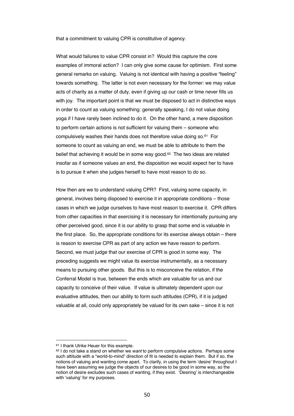that a commitment to valuing CPR is constitutive of agency.

What would failures to value CPR consist in? Would this capture the core examples of immoral action? I can only give some cause for optimism. First some general remarks on valuing. Valuing is not identical with having a positive "feeling" towards something. The latter is not even necessary for the former: we may value acts of charity as a matter of duty, even if giving up our cash or time never fills us with joy. The important point is that we must be disposed to act in distinctive ways in order to count as valuing something: generally speaking, I do not value doing yoga if I have rarely been inclined to do it. On the other hand, a mere disposition to perform certain actions is not sufficient for valuing them – someone who compulsively washes their hands does not therefore value doing so.61 For someone to count as valuing an end, we must be able to attribute to them the belief that achieving it would be in some way good.<sup>62</sup> The two ideas are related insofar as if someone values an end, the disposition we would expect her to have is to pursue it when she judges herself to have most reason to do so.

How then are we to understand valuing CPR? First, valuing some capacity, in general, involves being disposed to exercise it in appropriate conditions – those cases in which we judge ourselves to have most reason to exercise it. CPR differs from other capacities in that exercising it is necessary for intentionally pursuing any other perceived good, since it is our ability to grasp that some end is valuable in the first place. So, the appropriate conditions for its exercise always obtain – there is reason to exercise CPR as part of any action we have reason to perform. Second, we must judge that our exercise of CPR is good in some way. The preceding suggests we might value its exercise instrumentally, as a necessary means to pursuing other goods. But this is to misconceive the relation, if the Conferral Model is true, between the ends which are valuable for us and our capacity to conceive of their value. If value is ultimately dependent upon our evaluative attitudes, then our ability to form such attitudes (CPR), if it is judged valuable at all, could only appropriately be valued for its own sake – since it is not

<sup>61</sup> I thank Ulrike Heuer for this example.

<sup>62</sup> I do not take a stand on whether we *want* to perform compulsive actions. Perhaps some such attitude with a "world-to-mind" direction of fit is needed to explain them. But if so, the notions of valuing and wanting come apart. To clarify, in using the term 'desire' throughout I have been assuming we judge the objects of our desires to be good in some way, so the notion of desire excludes such cases of wanting, if they exist. 'Desiring' is interchangeable with 'valuing' for my purposes.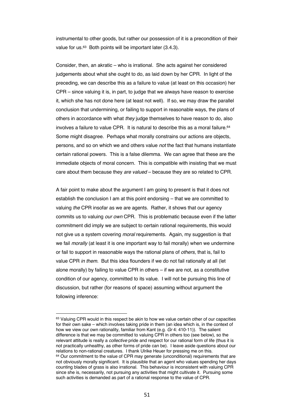instrumental to other goods, but rather our possession of it is a precondition of their value for us.<sup>63</sup> Both points will be important later (3.4.3).

Consider, then, an akratic – who is irrational. She acts against her considered judgements about what she ought to do, as laid down by her CPR. In light of the preceding, we can describe this as a failure to value (at least on this occasion) her CPR – since valuing it is, in part, to judge that we always have reason to exercise it, which she has not done here (at least not well). If so, we may draw the parallel conclusion that undermining, or failing to support in reasonable ways, the plans of others in accordance with what *they* judge themselves to have reason to do, also involves a failure to value CPR. It is natural to describe this as a moral failure.<sup>64</sup> Some might disagree. Perhaps what morally constrains our actions are objects, persons, and so on which we and others value *not* the fact that humans instantiate certain rational powers. This is a false dilemma. We can agree that these are the immediate objects of moral concern. This is compatible with insisting that we must care about them because they *are valued* – because they are so related to CPR.

A fair point to make about the argument I am going to present is that it does not establish the conclusion I am at this point endorsing – that we are committed to valuing *the* CPR insofar as we are agents. Rather, it shows that our agency commits us to valuing *our own* CPR. This is problematic because even if the latter commitment did imply we are subject to certain rational requirements, this would not give us a system covering *moral* requirements. Again, my suggestion is that we fail *morally* (at least it is one important way to fail morally) when we undermine or fail to support in reasonable ways the rational plans of *others*, that is, fail to value CPR *in them*. But this idea flounders if we do not fail rationally at all (let alone morally) by failing to value CPR in others – if we are not, as a constitutive condition of our agency, committed to its value. I will not be pursuing this line of discussion, but rather (for reasons of space) assuming without argument the following inference:

<sup>&</sup>lt;sup>63</sup> Valuing CPR would in this respect be akin to how we value certain other of our capacities for their own sake – which involves taking pride in them (an idea which is, in the context of how we view our own rationality, familiar from Kant (e.g. *Gr* 4: 410-11)). The salient difference is that we may be committed to valuing CPR in others too (see below), so the relevant attitude is really a *collective* pride and respect for our rational form of life (thus it is not practically unhealthy, as other forms of pride can be). I leave aside questions about our relations to non-rational creatures. I thank Ulrike Heuer for pressing me on this.  $64$  Our commitment to the value of CPR may generate (unconditional) requirements that are not obviously morally significant. It is plausible that an agent who values spending her days counting blades of grass is also irrational. This behaviour is inconsistent with valuing CPR since she is, necessarily, not pursuing any activities that might cultivate it. Pursuing some such activities is demanded as part of a rational response to the value of CPR.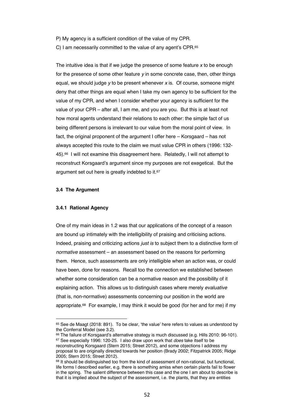- P) My agency is a sufficient condition of the value of my CPR.
- C) I am necessarily committed to the value of any agent's CPR.65

The intuitive idea is that if we judge the presence of some feature *x* to be enough for the presence of some other feature *y* in some concrete case, then, other things equal, we should judge *y* to be present whenever *x* is. Of course, someone might deny that other things are equal when I take my own agency to be sufficient for the value of my CPR, and when I consider whether your agency is sufficient for the value of your CPR – after all, I am me, and you are you. But this is at least not how moral agents understand their relations to each other: the simple fact of us being different persons is irrelevant to our value from the moral point of view. In fact, the original proponent of the argument I offer here – Korsgaard – has not always accepted this route to the claim we must value CPR in others (1996: 132- 45).66 I will not examine this disagreement here. Relatedly, I will not attempt to reconstruct Korsgaard's argument since my purposes are not exegetical. But the argument set out here is greatly indebted to it.<sup>67</sup>

#### **3.4 The Argument**

#### **3.4.1 Rational Agency**

One of my main ideas in 1.2 was that our applications of the concept of a reason are bound up intimately with the intelligibility of praising and criticising actions. Indeed, praising and criticizing actions *just is* to subject them to a distinctive form of *normative* assessment – an assessment based on the reasons for performing them. Hence, such assessments are only intelligible when an action was, or could have been, done for reasons. Recall too the connection we established between whether some consideration can be a normative reason and the possibility of it explaining action. This allows us to distinguish cases where merely *evaluative* (that is, non-normative) assessments concerning our position in the world are appropriate.<sup>68</sup> For example, I may think it would be good (for her and for me) if my

 $65$  See de Maagt (2018: 891). To be clear, 'the value' here refers to values as understood by the Conferral Model (see 3.2).

<sup>66</sup> The failure of Korsgaard's alternative strategy is much discussed (e.g. Hills 2010: 96-101). <sup>67</sup> See especially 1996: 120-25. I also draw upon work that *does* take itself to be reconstructing Korsgaard (Stern 2015; Street 2012), and some objections I address my proposal to are originally directed towards her position (Brady 2002; Fitzpatrick 2005; Ridge 2005; Stern 2015; Street 2012).

<sup>&</sup>lt;sup>68</sup> It should be distinguished too from the kind of assessment of non-rational, but functional, life forms I described earlier, e.g. there is something amiss when certain plants fail to flower in the spring. The salient difference between this case and the one I am about to describe is that it is implied about the subject of the assessment, i.e. the plants, that they are entities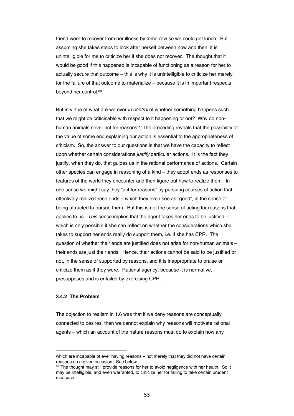friend were to recover from her illness by tomorrow so we could get lunch. But assuming she takes steps to look after herself between now and then, it is unintelligible for me to criticize her if she does not recover. The thought that it would be good if this happened is incapable of functioning as a reason for her to actually secure that outcome – this is why it is unintelligible to criticize her merely for the failure of that outcome to materialize – because it is in important respects beyond her control.69

But in virtue of what are we ever *in control* of whether something happens such that we might be criticisable with respect to it happening or not? Why do nonhuman animals never act for reasons? The preceding reveals that the possibility of the value of some end explaining our action is essential to the appropriateness of criticism. So, the answer to our questions is that we have the capacity to reflect upon whether certain considerations *justify* particular actions. It is the fact they justify, when they do, that guides us in the rational performance of actions. Certain other species can engage in reasoning of a kind – they adopt ends as responses to features of the world they encounter and then figure out how to realize them. In one sense we might say they "act for reasons" by pursuing courses of action that effectively realize these ends – which they even see as "good", in the sense of being attracted to pursue them. But this is not the sense of acting for reasons that applies to us. *This* sense implies that the agent takes her ends to be justified – which is only possible if she can reflect on whether the considerations which she takes to support her ends really do support them, i.e. if she has CPR. The question of whether their ends are justified does not arise for non-human animals – their ends are just their ends. Hence, their actions cannot be said to be justified or not, in the sense of supported by reasons, and it is inappropriate to praise or criticize them as if they were. Rational agency, because it is normative, presupposes and is entailed by exercising CPR.

#### **3.4.2 The Problem**

The objection to realism in 1.6 was that if we deny reasons are conceptually connected to desires, then we cannot explain why reasons will motivate rational agents – which an account of the nature reasons must do to explain how any

which are incapable of ever having reasons – not merely that they did not have certain reasons on a given occasion. See below.<br><sup>69</sup> The thought may still provide reasons for her to avoid negligence with her health. So it

may be intelligible, and even warranted, to criticize her for failing to take certain prudent measures.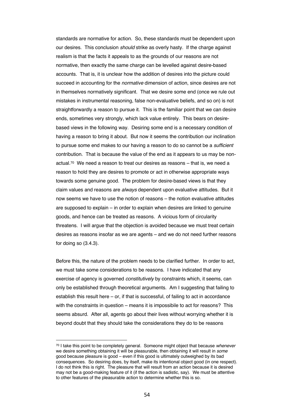standards are normative for action. So, these standards must be dependent upon our desires. This conclusion *should* strike as overly hasty. If the charge against realism is that the facts it appeals to as the grounds of our reasons are not normative, then exactly the same charge can be levelled against desire-based accounts. That is, it is unclear how the addition of desires into the picture could succeed in accounting for the *normative* dimension of action, since desires are not in themselves normatively significant. That we desire some end (once we rule out mistakes in instrumental reasoning, false non-evaluative beliefs, and so on) is not straightforwardly a reason to pursue it. This is the familiar point that we can desire ends, sometimes very strongly, which lack value entirely. This bears on desirebased views in the following way. Desiring some end is a necessary condition of having a reason to bring it about. But now it seems the contribution our inclination to pursue some end makes to our having a reason to do so cannot be a *sufficient*  contribution. That is because the value of the end as it appears to us may be nonactual.70 We need a reason to treat our desires as reasons – that is, we need a reason to hold they are desires to promote or act in otherwise appropriate ways towards some genuine good. The problem for desire-based views is that they claim values and reasons are *always* dependent upon evaluative attitudes. But it now seems we have to use the notion of reasons – the notion evaluative attitudes are supposed to explain – in order to explain when desires are linked to genuine goods, and hence can be treated as reasons. A vicious form of circularity threatens. I will argue that the objection is avoided because we must treat certain desires as reasons insofar as we are agents – and we do not need further reasons for doing so (3.4.3).

Before this, the nature of the problem needs to be clarified further. In order to act, we must take some considerations to be reasons. I have indicated that any exercise of agency is governed *constitutively* by constraints which, it seems, can only be established through theoretical arguments. Am I suggesting that failing to establish this result here – or, if that is successful, of failing to act in accordance with the constraints in question – means it is impossibile to act for reasons? This seems absurd. After all, agents go about their lives without worrying whether it is beyond doubt that they should take the considerations they do to be reasons

<sup>70</sup> I take this point to be completely general. Someone might object that because *whenever* we desire something obtaining it will be pleasurable, then obtaining it will result in *some*  good because pleasure is good – even if this good is ultimately outweighed by its bad consequences. So desiring does, by itself, make its intentional object good (in one respect). I do not think this is right. The pleasure that will result from an action because it is desired may not be a good-making feature of it (if the action is sadistic, say). We must be attentive to other features of the pleasurable action to determine whether this is so.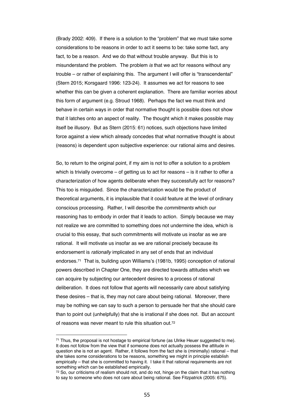(Brady 2002: 409). If there is a solution to the "problem" that we must take some considerations to be reasons in order to act it seems to be: take some fact, any fact, to be a reason. And we do that without trouble anyway. But this is to misunderstand the problem. The problem *is* that we act for reasons without any trouble – or rather of explaining this. The argument I will offer is "transcendental" (Stern 2015; Korsgaard 1996: 123-24). It assumes we act for reasons to see whether this can be given a coherent explanation. There are familiar worries about this form of argument (e.g. Stroud 1968). Perhaps the fact we must think and behave in certain ways in order that normative thought is possible does not show that it latches onto an aspect of reality. The thought which it makes possible may itself be illusory. But as Stern (2015: 61) notices, such objections have limited force against a view which already concedes that what normative thought is about (reasons) is dependent upon subjective experience: our rational aims and desires.

So, to return to the original point, if my aim is not to offer a solution to a problem which is trivially overcome  $-$  of getting us to act for reasons  $-$  is it rather to offer a characterization of how agents deliberate when they successfully act for reasons? This too is misguided. Since the characterization would be the product of theoretical arguments, it is implausible that it could feature at the level of ordinary conscious processing. Rather, I will describe the *commitments* which our reasoning has to embody in order that it leads to action. Simply because we may not realize we are committed to something does not undermine the idea, which is crucial to this essay, that such commitments will motivate us insofar as we are rational. It will motivate us insofar as we are rational precisely because its endorsement is *rationally* implicated in any set of ends that an individual endorses.71 That is, building upon Williams's (1981b, 1995) conception of rational powers described in Chapter One, they are directed towards attitudes which we can acquire by subjecting our antecedent desires to a process of rational deliberation. It does not follow that agents will necessarily care about satisfying these desires – that is, they may not care about being rational. Moreover, there may be nothing we can say to such a person to persuade her that she should care than to point out (unhelpfully) that she is irrational if she does not. But an account of reasons was never meant to rule this situation out.72

<sup>71</sup> Thus, the proposal is not hostage to empirical fortune (as Ulrike Heuer suggested to me). It does not follow from the view that if someone does not actually possess the attitude in question she is not an agent. Rather, it follows from the fact she is (minimally) rational – that she takes some considerations to be reasons, something we might in principle establish empirically – that she is committed to having it. I take it that rational requirements are not something which can be established empirically.<br><sup>72</sup> So, our criticisms of realism should not, and do not, hinge on the claim that it has nothing

to say to someone who does not care about being rational. See Fitzpatrick (2005: 675).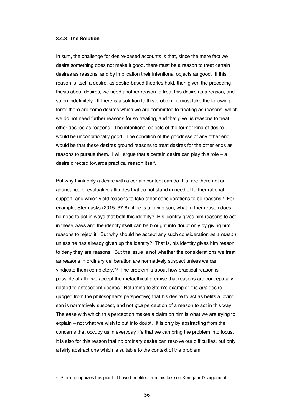#### **3.4.3 The Solution**

In sum, the challenge for desire-based accounts is that, since the mere fact we desire something does not make it good, there must be a reason to treat certain desires as reasons, and by implication their intentional objects as good. If this reason is itself a desire, as desire-based theories hold, then given the preceding thesis about desires, we need another reason to treat this desire as a reason, and so on indefinitely. If there is a solution to this problem, it must take the following form: there are some desires which we are committed to treating as reasons, which we do not need further reasons for so treating, and that give us reasons to treat other desires as reasons. The intentional objects of the former kind of desire would be unconditionally good. The condition of the goodness of any other end would be that these desires ground reasons to treat desires for the other ends as reasons to pursue them. I will argue that a certain desire can play this role – a desire directed towards practical reason itself.

But why think only a desire with a certain content can do this: are there not an abundance of evaluative attitudes that do not stand in need of further rational support, and which yield reasons to take other considerations to be reasons? For example, Stern asks (2015: 67-8), if he is a loving son, what further reason does he need to act in ways that befit this identity? His identity gives him reasons to act in these ways and the identity itself can be brought into doubt only by giving him reasons to reject it. But why should he accept any such consideration *as a reason* unless he has already given up the identity? That is, his identity gives him reason to deny they are reasons. But the issue is not whether the considerations we treat as reasons in ordinary deliberation are normatively suspect unless we can vindicate them completely.73 The problem is about how practical reason is possible at all if we accept the metaethical premise that reasons are conceptually related to antecedent desires. Returning to Stern's example: it is *qua* desire (judged from the philosopher's perspective) that his desire to act as befits a loving son is normatively suspect, and not *qua* perception of a reason to act in this way. The ease with which this perception makes a claim on him is what we are trying to explain – not what we wish to put into doubt. It is only by abstracting from the concerns that occupy us in everyday life that we can bring the problem into focus. It is also for this reason that no ordinary desire can resolve our difficulties, but only a fairly abstract one which is suitable to the context of the problem.

<sup>&</sup>lt;sup>73</sup> Stern recognizes this point. I have benefited from his take on Korsgaard's argument.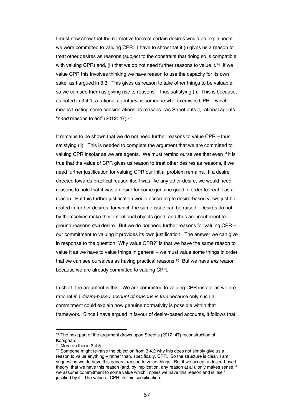I must now show that the normative force of certain desires would be explained if we were committed to valuing CPR. I have to show that it (i) gives us a reason to treat other desires as reasons (subject to the constraint that doing so is compatible with valuing CPR) and, (ii) that we do not need further reasons to value it.<sup>74</sup> If we value CPR this involves thinking we have reason to use the capacity for its own sake, as I argued in 3.3. This gives us reason to take other things to be valuable, so we can see them as giving rise to reasons – thus satisfying (i). This is because, as noted in 3.4.1, a rational agent *just is* someone who exercises CPR – which means treating some considerations as reasons. As Street puts it, rational agents "*need* reasons to act" (2012: 47).75

It remains to be shown that we do not need further reasons to value CPR – thus satisfying (ii). This is needed to complete the argument that we are committed to valuing CPR insofar as we are agents. We must remind ourselves that even if it is true that the value of CPR gives us reason to treat other desires as reasons, if we need further justification for valuing CPR our initial problem remains. If a desire directed towards practical reason itself was like any other desire, we would need reasons to hold that it was a desire for some genuine good in order to treat it as a reason. But this further justification would according to desire-based views just be rooted in further desires, for which the same issue can be raised. Desires do not by themselves make their intentional objects good, and thus are insufficient to ground reasons *qua* desire. But we do *not* need further reasons for valuing CPR – our commitment to valuing it provides its own justification. The answer we can give in response to the question "Why value CPR?" is that we have the same reason to value it as we have to value things in general – we must value some things in order that we can see ourselves as having practical reasons.76 But we have *this* reason because we are already committed to valuing CPR.

In short, the argument is this. We are committed to valuing CPR insofar as we are rational *if a desire-based account of reasons is true* because only such a commitment could explain how genuine normativity is possible within that framework. Since I have argued in favour of desire-based accounts, it follows that

<sup>74</sup> The next part of the argument draws upon Street's (2012: 47) reconstruction of Korsgaard.

<sup>75</sup> More on this in 3.4.5.

 $76$  Someone might re-raise the objection from 3.4.2 why this does not simply give us a reason to value anything – rather than, specifically, CPR. So the structure is clear, I am suggesting we do have this general reason to value things. But if we accept a desire-based theory, that we have this reason (and, by implication, any reason at all), only makes sense if we assume commitment to some value which implies we have this reason and is itself justified by it. The value of CPR fits this specification.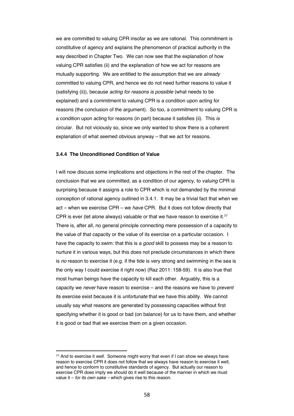we are committed to valuing CPR insofar as we are rational. This commitment is constitutive of agency and explains the phenomenon of practical authority in the way described in Chapter Two. We can now see that the explanation of how valuing CPR satisfies (ii) and the explanation of how we act for reasons are mutually supporting. We are entitled to the assumption that we are *already* committed to valuing CPR, and hence we do not need further reasons to value it (satisfying (ii)), because *acting for reasons is possible* (what needs to be explained) and a commitment to valuing CPR is a condition upon acting for reasons (the conclusion of the argument). So too, a commitment to valuing CPR is a condition upon acting for reasons (in part) because it satisfies (ii). This *is* circular. But not viciously so, since we only wanted to show there is a coherent explanation of what seemed obvious anyway – that we act for reasons.

#### **3.4.4 The Unconditioned Condition of Value**

I will now discuss some implications and objections in the rest of the chapter. The conclusion that we are committed, as a condition of our agency, to *valuing* CPR is surprising because it assigns a role to CPR which is not demanded by the minimal conception of rational agency outlined in 3.4.1. It may be a trivial fact that when we act – when we exercise CPR – we *have* CPR. But it does not follow directly that CPR is ever (let alone always) valuable or that we have reason to exercise it.<sup>77</sup> There is, after all, no general principle connecting mere possession of a capacity to the value of that capacity or the value of its exercise on a particular occasion. I have the capacity to swim: that this is a *good* skill to possess may be a reason to nurture it in various ways, but this does not preclude circumstances in which there is *no* reason to exercise it (e.g. if the tide is very strong and swimming in the sea is the only way I could exercise it right now) (Raz 2011: 158-59). It is also true that most human beings have the capacity to kill each other. Arguably, this is a capacity we *never* have reason to exercise – and the reasons we have to *prevent* its exercise exist because it is *unfortunate* that we have this ability. We cannot usually say what reasons are generated by possessing capacities without first specifying whether it is good or bad (on balance) for us to have them, and whether it is good or bad that we exercise them on a given occasion.

<sup>77</sup> And to exercise it *well*. Someone might worry that even if I can show we always have reason to exercise CPR it does not follow that we always have reason to exercise it well, and hence to conform to constitutive standards of agency. But actually our reason to exercise CPR does imply we should do it well because of the manner in which we must value it – *for its own sake –* which gives rise to this reason.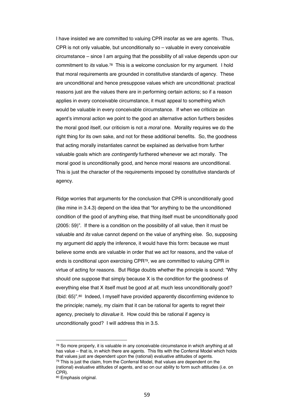I have insisted we are committed to valuing CPR insofar as we are agents. Thus, CPR is not only valuable, but unconditionally so – valuable in every conceivable circumstance – since I am arguing that the possibility of all value depends upon our commitment to *its* value.78 This is a welcome conclusion for my argument. I hold that moral requirements are grounded in constitutive standards of agency. These are unconditional and hence presuppose values which are unconditional: practical reasons just are the values there are in performing certain actions; so if a reason applies in every conceivable circumstance, it must appeal to something which would be valuable in every conceivable circumstance. If when we criticize an agent's immoral action we point to the good an alternative action furthers besides the moral good itself, our criticism is not a *moral* one. Morality requires we do the right thing for its own sake, and not for these additional benefits. So, the goodness that acting morally instantiates cannot be explained as derivative from further valuable goals which are *contingently* furthered whenever we act morally. The moral good is unconditionally good, and hence moral reasons are unconditional. This is just the character of the requirements imposed by constitutive standards of agency.

Ridge worries that arguments for the conclusion that CPR is unconditionally good (like mine in 3.4.3) depend on the idea that "for anything to be the unconditioned condition of the good of anything else, that thing itself must be unconditionally good (2005: 59)". If there is a condition on the possibility of all value, then it must be valuable and *its* value cannot depend on the value of anything else. So, supposing my argument did apply the inference, it would have this form: because we must believe some ends are valuable in order that we act for reasons, and the value of ends is conditional upon exercising CPR79, we are committed to valuing CPR in virtue of acting for reasons. But Ridge doubts whether the principle is sound: "Why should one suppose that simply because X is the condition for the goodness of everything else that X itself must be good *at all*, much less unconditionally good? (Ibid: 65)".80 Indeed, I myself have provided apparently disconfirming evidence to the principle; namely, my claim that it can be rational for agents to regret their agency, precisely to *disvalue* it. How could this be rational if agency is unconditionally good? I will address this in 3.5.

<sup>78</sup> So more properly, it is valuable in any conceivable circumstance in which anything at all has value – that is, in which there are agents. This fits with the Conferral Model which holds that values just are dependent upon the (rational) evaluative attitudes of agents.  $79$  This is just the claim, from the Conferral Model, that values are dependent on the (rational) evaluative attitudes of agents, and so on our ability to form such attitudes (i.e. on CPR).

<sup>80</sup> Emphasis original.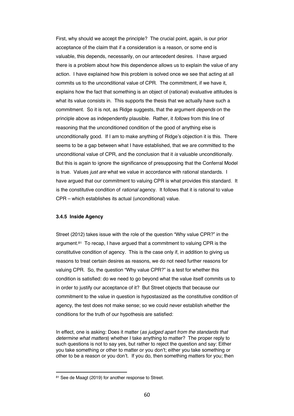First, why should we accept the principle? The crucial point, again, is our prior acceptance of the claim that if a consideration is a reason, or some end is valuable, this depends, necessarily, on our antecedent desires. I have argued there is a problem about how this dependence allows us to explain the value of any action. I have explained how this problem is solved once we see that acting at all commits us to the unconditional value of CPR. The commitment, if we have it, explains how the fact that something is an object of (rational) evaluative attitudes is what its value consists in. This supports the thesis that we actually have such a commitment. So it is not, as Ridge suggests, that the argument *depends* on the principle above as independently plausible. Rather, it *follows* from this line of reasoning that the unconditioned condition of the good of anything else is unconditionally good. If I am to make anything of Ridge's objection it is this. There seems to be a gap between what I have established, that we are committed to the unconditional value of CPR, and the conclusion that it *is* valuable unconditionally. But this is again to ignore the significance of presupposing that the Conferral Model is true. Values *just are* what we value in accordance with rational standards. I have argued that our commitment to valuing CPR is what provides this standard. It is the constitutive condition of *rational* agency. It follows that it is rational to value CPR – which establishes its actual (unconditional) value.

#### **3.4.5 Inside Agency**

Street (2012) takes issue with the role of the question "Why value CPR?" in the argument.<sup>81</sup> To recap, I have argued that a commitment to valuing CPR is the constitutive condition of agency. This is the case only if, in addition to giving us reasons to treat certain desires as reasons, we do not need further reasons for valuing CPR. So, the question "Why value CPR?" is a test for whether this condition is satisfied: do we need to go beyond what the value itself commits us to in order to justify our acceptance of it? But Street objects that because our commitment to the value in question is hypostasized as the constitutive condition of agency, the test does not make sense; so we could never establish whether the conditions for the truth of our hypothesis are satisfied:

In effect, one is asking: Does it matter (*as judged apart from the standards that determine what matters*) whether I take anything to matter? The proper reply to such questions is not to say yes, but rather to reject the question and say: Either you take something or other to matter or you don't; either you take something or other to be a reason or you don't. If you do, then something matters for you; then

<sup>81</sup> See de Maagt (2019) for another response to Street.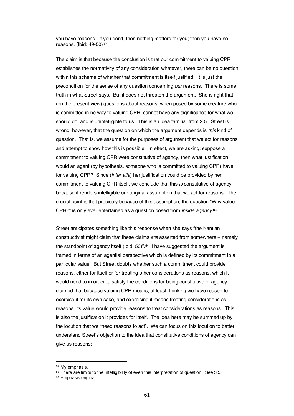you have reasons. If you don't, then nothing matters for you; then you have no reasons. (Ibid: 49-50)82

The claim is that because the conclusion is that our commitment to valuing CPR establishes the normativity of any consideration whatever, there can be no question within this scheme of whether that commitment is itself justified. It is just the precondition for the sense of any question concerning *our* reasons. There is some truth in what Street says. But it does not threaten the argument. She is right that (on the present view) questions about reasons, when posed by some creature who is committed in no way to valuing CPR, cannot have any significance for what we should do, and is unintelligible to us. This is an idea familiar from 2.5. Street is wrong, however, that the question on which the argument depends is *this* kind of question. That is, we assume for the purposes of argument that we act for reasons and attempt to show how this is possible. In effect, we are asking: suppose a commitment to valuing CPR were constitutive of agency, then what justification would an agent (by hypothesis, someone who is committed to valuing CPR) have for valuing CPR? Since (*inter alia*) her justification could be provided by her commitment to valuing CPR itself, we conclude that this *is* constitutive of agency because it renders intelligible our original assumption that we act for reasons. The crucial point is that precisely because of this assumption, the question "Why value CPR?" is only ever entertained as a question posed from *inside agency*.83

Street anticipates something like this response when she says "the Kantian constructivist might claim that these claims *are* asserted from somewhere – namely the standpoint of agency itself (Ibid: 50)".<sup>84</sup> I have suggested the argument is framed in terms of an agential perspective which is defined by its commitment to a particular value. But Street doubts whether such a commitment could provide reasons, either for itself or for treating other considerations as reasons, which it would need to in order to satisfy the conditions for being constitutive of agency. I claimed that because valuing CPR means, at least, thinking we have reason to exercise it for its own sake, and exercising it means treating considerations as reasons, its value would provide reasons to treat considerations as reasons. This is also the justification it provides for itself. The idea here may be summed up by the locution that we "need reasons to act". We can focus on this locution to better understand Street's objection to the idea that constitutive conditions of agency can give us reasons:

<sup>82</sup> My emphasis.

<sup>83</sup> There are limits to the intelligibility of even this interpretation of question. See 3.5.

<sup>84</sup> Emphasis original.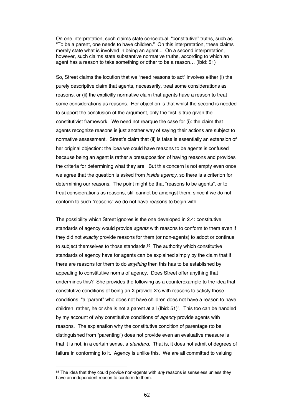On one interpretation, such claims state conceptual, "constitutive" truths, such as "To be a parent, one needs to have children." On this interpretation, these claims merely state what is involved in being an agent... On a second interpretation, however, such claims state substantive normative truths, according to which an agent has a reason to take something or other to be a reason… (Ibid: 51)

So, Street claims the locution that we "need reasons to act" involves either (i) the purely descriptive claim that agents, necessarily, treat some considerations as reasons, or (ii) the explicitly normative claim that agents have a reason to treat some considerations as reasons. Her objection is that whilst the second is needed to support the conclusion of the argument, only the first is true given the constitutivist framework. We need not reargue the case for (i): the claim that agents recognize reasons is just another way of saying their actions are subject to normative assessment. Street's claim that (ii) is false is essentially an extension of her original objection: the idea we could have reasons to be agents is confused because being an agent is rather a presupposition of having reasons and provides the criteria for determining what they are. But this concern is not empty even once we agree that the question is asked from *inside agency*, so there is a criterion for determining our reasons. The point might be that "reasons to be agents", or to treat considerations as reasons, still cannot be amongst them, since if we do not conform to such "reasons" we do not have reasons to begin with.

The possibility which Street ignores is the one developed in 2.4: constitutive standards of agency would provide *agents* with reasons to conform to them even if they did not *exactly* provide reasons for them (or non-agents) to adopt or continue to subject themselves to those standards.<sup>85</sup> The authority which constitutive standards of agency have for agents can be explained simply by the claim that if there are reasons for them to do *anything* then this has to be established by appealing to constitutive norms of agency. Does Street offer anything that undermines this? She provides the following as a counterexample to the idea that constitutive conditions of being an X provide X's with reasons to satisfy those conditions: "a "parent" who does not have children does not have a reason to have children; rather, he or she is not a parent at all (Ibid: 51)". This too can be handled by my account of why constitutive conditions of *agency* provide agents with reasons. The explanation why the constitutive condition of parentage (to be distinguished from "parenting") does not provide even an evaluative measure is that it is not, in a certain sense, a *standard*. That is, it does not admit of degrees of failure in conforming to it. Agency is unlike this. We are all committed to valuing

<sup>85</sup> The idea that they could provide non-agents with *any* reasons is senseless unless they have an independent reason to conform to them.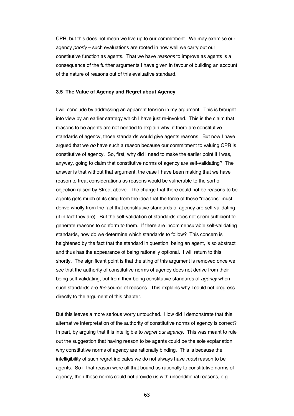CPR, but this does not mean we live up to our commitment. We may exercise our agency *poorly* – such evaluations are rooted in how well we carry out our constitutive function as agents. That we have *reasons* to improve as agents is a consequence of the further arguments I have given in favour of building an account of the nature of reasons out of this evaluative standard.

#### **3.5 The Value of Agency and Regret about Agency**

I will conclude by addressing an apparent tension in my argument. This is brought into view by an earlier strategy which I have just re-invoked. This is the claim that reasons to be agents are not needed to explain why, if there are constitutive standards of agency, those standards would give agents reasons. But now I have argued that we *do* have such a reason because our commitment to valuing CPR is constitutive of agency. So, first, why did I need to make the earlier point if I was, anyway, going to claim that constitutive norms of agency are self-validating? The answer is that without that argument, the case I have been making that we have reason to treat considerations as reasons would be vulnerable to the sort of objection raised by Street above. The charge that there could not be reasons to be agents gets much of its sting from the idea that the force of those "reasons" must derive wholly from the fact that constitutive standards of agency are self-validating (if in fact they are). But the self-validation of standards does not seem sufficient to generate reasons to conform to them. If there are incommensurable self-validating standards, how do we determine which standards to follow? This concern is heightened by the fact that the standard in question, being an agent, is so abstract and thus has the appearance of being rationally optional. I will return to this shortly. The significant point is that the sting of this argument is removed once we see that the authority of constitutive norms of agency does not derive from their being self-validating, but from their being constitutive standards of *agency* when such standards are *the* source of reasons. This explains why I could not progress directly to the argument of this chapter.

But this leaves a more serious worry untouched. How did I demonstrate that this alternative interpretation of the authority of constitutive norms of agency is correct? In part, by arguing that it is intelligible to *regret our agency*. This was meant to rule out the suggestion that having reason to be agents could be the sole explanation why constitutive norms of agency are rationally binding. This is because the intelligibility of such regret indicates we do not always have *most* reason to be agents. So if that reason were all that bound us rationally to constitutive norms of agency, then those norms could not provide us with unconditional reasons, e.g.

63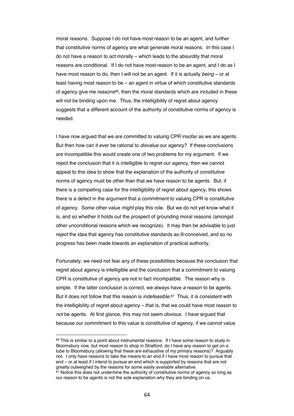moral reasons. Suppose I do not have most reason to be an agent, and further that constitutive norms of agency are what generate moral reasons. In this case I do not have a reason to act morally – which leads to the absurdity that moral reasons are conditional. If I do not have most reason to be an agent, and I do as I have most reason to do, then I will not be an agent. If it is actually *being* – or at least having most reason to be – an agent in virtue of which constitutive standards of agency give me reasons<sup>86</sup>, then the moral standards which are included in these will not be binding upon me. Thus, the intelligibility of regret about agency suggests that a different account of the authority of constitutive norms of agency is needed.

I have now argued that we are committed to valuing CPR insofar as we are agents. But then how can it ever be rational to *disvalue* our agency? If these conclusions are incompatible this would create one of two problems for my argument. If we reject the conclusion that it is intelligible to regret our agency, then we cannot appeal to this idea to show that the explanation of the authority of constitutive norms of agency must be other than that we have reason to be agents. But, if there is a compelling case for the intelligibility of regret about agency, this shows there is a defect in the argument that a commitment to valuing CPR is constitutive of agency. Some other value *might* play this role. But we do not yet know what it is, and so whether it holds out the prospect of grounding moral reasons (amongst other unconditional reasons which we recognize). It may then be advisable to just reject the idea that agency has constitutive standards as ill-conceived, and so no progress has been made towards an explanation of practical authority.

Fortunately, we need not fear any of these possibilities because the conclusion that regret about agency is intelligible and the conclusion that a commitment to valuing CPR is constitutive of agency are not in fact incompatible. The reason why is simple. If the latter conclusion is correct, we always have *a* reason to be agents. But it does not follow that this reason is *indefeasible*.87 Thus, it is consistent with the intelligibility of regret about agency – that is, that we could have most reason to *not* be agents. At first glance, this may not seem obvious. I have argued that because our commitment to this value is constitutive of agency, if we cannot value

<sup>86</sup> This is similar to a point about instrumental reasons. If I have some reason to study in Bloomsbury now, but most reason to shop in Stratford, do I have any reason to get on a tube to Bloomsbury (allowing that these are exhaustive of my primary reasons)? Arguably not. I only have reasons to take the means to an end if I have most reason to pursue that end – or at least if I intend to pursue an end which is supported by reasons that are not greatly outweighed by the reasons for some easily available alternative.

<sup>87</sup> Notice this does not undermine the authority of constitutive norms of agency so long as our reason to be agents is not the sole explanation why they are binding on us.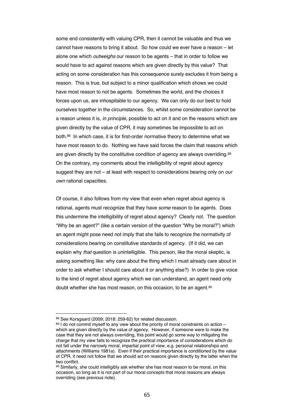some end consistently with valuing CPR, then it cannot be valuable and thus we cannot have reasons to bring it about. So how could we ever have a reason – let alone one which *outweighs* our reason to be agents – that in order to follow we would have to act against reasons which are given directly by this value? That acting on some consideration has this consequence surely excludes it from being a reason. This is true, but subject to a minor qualification which shows we could have most reason to not be agents. Sometimes the world, and the choices it forces upon us, are inhospitable to our agency. We can only do our best to hold ourselves together in the circumstances. So, whilst some consideration cannot be a reason unless it is, *in principle*, possible to act on it and on the reasons which are given directly by the value of CPR, it may sometimes be impossible to act on both.88 In which case, it is for first-order normative theory to determine what we have most reason to do. Nothing we have said forces the claim that reasons which are given directly by the constitutive condition of agency are always overriding.<sup>89</sup> On the contrary, my comments about the intelligibility of regret about agency suggest they are not – at least with respect to considerations bearing only on *our own* rational capacities.

Of course, it also follows from my view that even when regret about agency is rational, agents must recognize that they have *some* reason to be agents. Does this undermine the intelligibility of regret about agency? Clearly not. The question "Why be an agent?" (like a certain version of the question "Why be moral?") which an agent might pose need not imply that she fails to recognize the normativity of considerations bearing on constitutive standards of agency. (If it did, we can explain why *that* question is unintelligible. This person, like the moral skeptic, is asking something like: why care about the thing which I must already care about in order to ask whether I should care about it or anything else?) In order to give voice to the kind of regret about agency which we can understand, an agent need only doubt whether she has most reason, on this occasion, to be an agent.<sup>90</sup>

<sup>88</sup> See Korsgaard (2009; 2018: 259-62) for related discussion.

<sup>89</sup> I do not commit myself to any view about the priority of moral constraints on action – which are given directly by the value of agency. However, if someone were to make the case that they are not always overriding, this point would go some way to mitigating the charge that my view fails to recognize the practical importance of considerations which do not fall under the narrowly moral, impartial point of view, e.g. personal relationships and attachments (Williams 1981a). Even if their practical importance is conditioned by the value of CPR, it need not follow that we should act on reasons given directly by the latter when the two conflict.

<sup>90</sup> Similarly, she could intelligibly ask whether she has most reason to be moral, on this occasion, so long as it is not part of our moral concepts that moral reasons are always overriding (see previous note).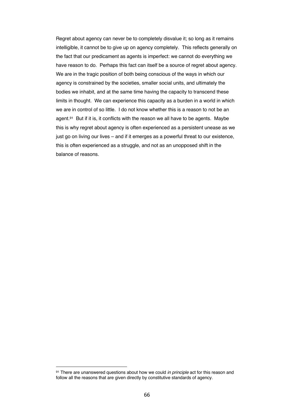Regret about agency can never be to completely disvalue it; so long as it remains intelligible, it cannot be to give up on agency completely. This reflects generally on the fact that our predicament as agents is imperfect: we cannot do everything we have reason to do. Perhaps this fact can itself be a source of regret about agency. We are in the tragic position of both being conscious of the ways in which our agency is constrained by the societies, smaller social units, and ultimately the bodies we inhabit, and at the same time having the capacity to transcend these limits in thought. We can experience this capacity as a burden in a world in which we are in control of so little. I do not know whether this is a reason to not be an agent.<sup>91</sup> But if it is, it conflicts with the reason we all have to be agents. Maybe this is why regret about agency is often experienced as a persistent unease as we just go on living our lives – and if it emerges as a powerful threat to our existence, this is often experienced as a struggle, and not as an unopposed shift in the balance of reasons.

<sup>91</sup> There are unanswered questions about how we could *in principle* act for this reason and follow all the reasons that are given directly by constitutive standards of agency.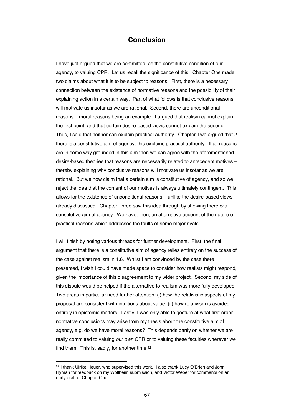# **Conclusion**

I have just argued that we are committed, as the constitutive condition of our agency, to valuing CPR. Let us recall the significance of this. Chapter One made two claims about what it is to be subject to reasons. First, there is a necessary connection between the existence of normative reasons and the possibility of their explaining action in a certain way. Part of what follows is that conclusive reasons will motivate us insofar as we are rational. Second, there are unconditional reasons – moral reasons being an example. I argued that realism cannot explain the first point, and that certain desire-based views cannot explain the second. Thus, I said that neither can explain practical authority. Chapter Two argued that *if*  there is a constitutive aim of agency, this explains practical authority. If all reasons are in some way grounded in this aim then we can agree with the aforementioned desire-based theories that reasons are necessarily related to antecedent motives – thereby explaining why conclusive reasons will motivate us insofar as we are rational. But we now claim that a certain aim is constitutive of agency, and so we reject the idea that the content of our motives is always ultimately contingent. This allows for the existence of unconditional reasons – unlike the desire-based views already discussed. Chapter Three saw this idea through by showing there *is* a constitutive aim of agency. We have, then, an alternative account of the nature of practical reasons which addresses the faults of some major rivals.

I will finish by noting various threads for further development. First, the final argument that there is a constitutive aim of agency relies entirely on the success of the case against realism in 1.6. Whilst I am convinced by the case there presented, I wish I could have made space to consider how realists might respond, given the importance of this disagreement to my wider project. Second, my side of this dispute would be helped if the alternative to realism was more fully developed. Two areas in particular need further attention: (i) how the relativistic aspects of my proposal are consistent with intuitions about value; (ii) how relativism is avoided entirely in epistemic matters. Lastly, I was only able to gesture at what first-order normative conclusions may arise from my thesis about the constitutive aim of agency, e.g. do we have moral reasons? This depends partly on whether we are really committed to valuing *our own* CPR or to valuing these faculties wherever we find them. This is, sadly, for another time.92

<sup>92</sup> I thank Ulrike Heuer, who supervised this work. I also thank Lucy O'Brien and John Hyman for feedback on my Wollheim submission, and Victor Weber for comments on an early draft of Chapter One.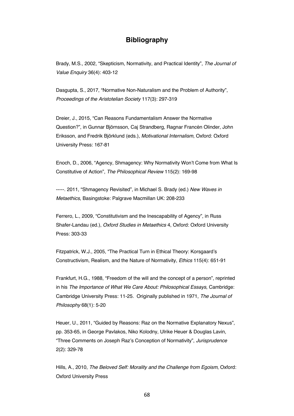# **Bibliography**

Brady, M.S., 2002, "Skepticism, Normativity, and Practical Identity", *The Journal of Value Enquiry* 36(4): 403-12

Dasgupta, S., 2017, "Normative Non-Naturalism and the Problem of Authority", *Proceedings of the Aristotelian Society* 117(3): 297-319

Dreier, J., 2015, "Can Reasons Fundamentalism Answer the Normative Question?", in Gunnar Björnsson, Caj Strandberg, Ragnar Francén Olinder, John Eriksson, and Fredrik Björklund (eds.), *Motivational Internalism*, Oxford: Oxford University Press: 167-81

Enoch, D., 2006, "Agency, Shmagency: Why Normativity Won't Come from What Is Constitutive of Action", *The Philosophical Review* 115(2): 169-98

-----. 2011, "Shmagency Revisited", in Michael S. Brady (ed.) *New Waves in Metaethics*, Basingstoke: Palgrave Macmillan UK: 208-233

Ferrero, L., 2009, "Constitutivism and the Inescapability of Agency", in Russ Shafer-Landau (ed.), *Oxford Studies in Metaethics* 4, Oxford: Oxford University Press: 303-33

Fitzpatrick, W.J., 2005, "The Practical Turn in Ethical Theory: Korsgaard's Constructivism, Realism, and the Nature of Normativity, *Ethics* 115(4): 651-91

Frankfurt, H.G., 1988, "Freedom of the will and the concept of a person", reprinted in his *The Importance of What We Care About: Philosophical Essays*, Cambridge: Cambridge University Press: 11-25. Originally published in 1971, *The Journal of Philosophy* 68(1): 5-20

Heuer, U., 2011, "Guided by Reasons: Raz on the Normative Explanatory Nexus", pp. 353-65, in George Pavlakos, Niko Kolodny, Ulrike Heuer & Douglas Lavin, "Three Comments on Joseph Raz's Conception of Normativity", *Jurisprudence*  2(2): 329-78

Hills, A., 2010, *The Beloved Self: Morality and the Challenge from Egoism*, Oxford: Oxford University Press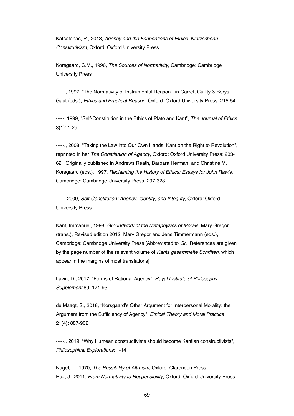Katsafanas, P., 2013, *Agency and the Foundations of Ethics: Nietzschean Constitutivism,* Oxford: Oxford University Press

Korsgaard, C.M., 1996, *The Sources of Normativity*, Cambridge: Cambridge University Press

-----., 1997, "The Normativity of Instrumental Reason", in Garrett Cullity & Berys Gaut (eds.), *Ethics and Practical Reason*, Oxford: Oxford University Press: 215-54

-----. 1999, "Self-Constitution in the Ethics of Plato and Kant", *The Journal of Ethics*  3(1): 1-29

-----., 2008, "Taking the Law into Our Own Hands: Kant on the Right to Revolution", reprinted in her *The Constitution of Agency*, Oxford: Oxford University Press: 233- 62. Originally published in Andrews Reath, Barbara Herman, and Christine M. Korsgaard (eds.), 1997, *Reclaiming the History of Ethics: Essays for John Rawls*, Cambridge: Cambridge University Press: 297-328

-----. 2009, *Self-Constitution: Agency, Identity, and Integrity,* Oxford: Oxford University Press

Kant, Immanuel, 1998, *Groundwork of the Metaphysics of Morals*, Mary Gregor (trans.), Revised edition 2012, Mary Gregor and Jens Timmermann (eds.), Cambridge: Cambridge University Press [Abbreviated to *Gr*. References are given by the page number of the relevant volume of *Kants gesammelte Schriften*, which appear in the margins of most translations]

Lavin, D., 2017, "Forms of Rational Agency", *Royal Institute of Philosophy Supplement* 80: 171-93

de Maagt, S., 2018, "Korsgaard's Other Argument for Interpersonal Morality: the Argument from the Sufficiency of Agency", *Ethical Theory and Moral Practice*  21(4): 887-902

-----., 2019, "Why Humean constructivists should become Kantian constructivists", *Philosophical Explorations*: 1-14

Nagel, T., 1970, *The Possibility of Altruism*, Oxford: Clarendon Press Raz, J., 2011, *From Normativity to Responsibility*, Oxford: Oxford University Press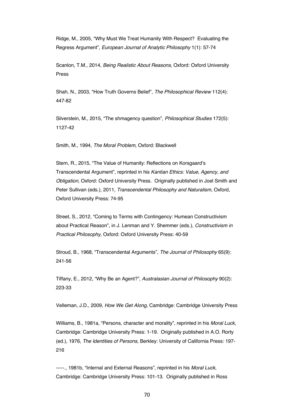Ridge, M., 2005, "Why Must We Treat Humanity With Respect? Evaluating the Regress Argument", *European Journal of Analytic Philosophy* 1(1): 57-74

Scanlon, T.M., 2014, *Being Realistic About Reasons*, Oxford: Oxford University Press

Shah, N., 2003, "How Truth Governs Belief", *The Philosophical Review* 112(4): 447-82

Silverstein, M., 2015, "The shmagency question", *Philosophical Studies* 172(5): 1127-42

Smith, M., 1994, *The Moral Problem*, Oxford: Blackwell

Stern, R., 2015, "The Value of Humanity: Reflections on Korsgaard's Transcendental Argument", reprinted in his *Kantian Ethics: Value, Agency, and Obligation*, Oxford: Oxford University Press. Originally published in Joel Smith and Peter Sullivan (eds.), 2011, *Transcendental Philosophy and Naturalism*, Oxford, Oxford University Press: 74-95

Street, S., 2012, "Coming to Terms with Contingency: Humean Constructivism about Practical Reason", in J. Lenman and Y. Shemmer (eds.), *Constructivism in Practical Philosophy,* Oxford: Oxford University Press: 40-59

Stroud, B., 1968, "Transcendental Arguments", *The Journal of Philosophy* 65(9): 241-56

Tiffany, E., 2012, "Why Be an Agent?", *Australasian Journal of Philosophy* 90(2): 223-33

Velleman, J.D., 2009, *How We Get Along,* Cambridge: Cambridge University Press

Williams, B., 1981a, "Persons, character and morality", reprinted in his *Moral Luck*, Cambridge: Cambridge University Press: 1-19. Originally published in A.O. Rorty (ed.), 1976, *The Identities of Persons*, Berkley: University of California Press: 197- 216

-----., 1981b, "Internal and External Reasons", reprinted in his *Moral Luck*, Cambridge: Cambridge University Press: 101-13. Originally published in Ross